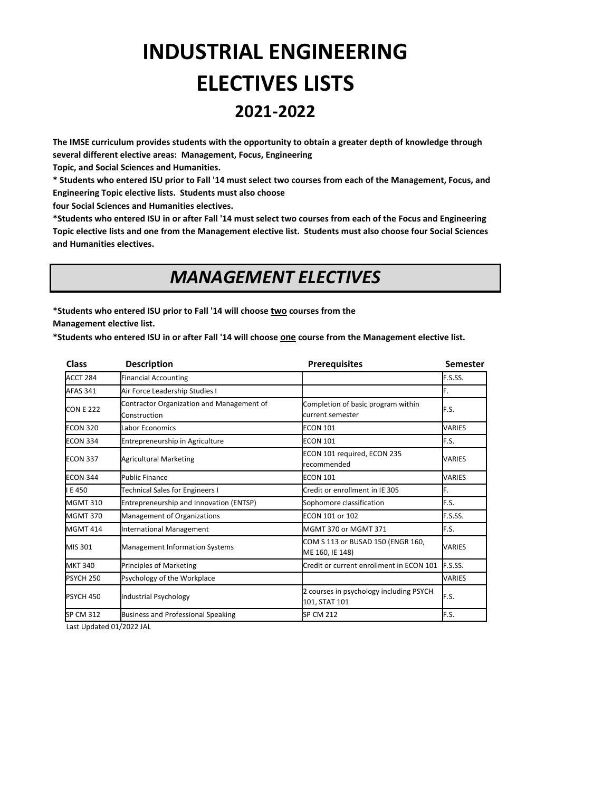# **INDUSTRIAL ENGINEERING ELECTIVES LISTS 2021-2022**

**The IMSE curriculum provides students with the opportunity to obtain a greater depth of knowledge through several different elective areas: Management, Focus, Engineering** 

**Topic, and Social Sciences and Humanities.** 

**\* Students who entered ISU prior to Fall '14 must select two courses from each of the Management, Focus, and Engineering Topic elective lists. Students must also choose** 

**four Social Sciences and Humanities electives.** 

**\*Students who entered ISU in or after Fall '14 must select two courses from each of the Focus and Engineering Topic elective lists and one from the Management elective list. Students must also choose four Social Sciences and Humanities electives.**

### *MANAGEMENT ELECTIVES*

**\*Students who entered ISU prior to Fall '14 will choose two courses from the Management elective list.** 

**\*Students who entered ISU in or after Fall '14 will choose one course from the Management elective list.**

| <b>Class</b>     | <b>Description</b>                                        | <b>Prerequisites</b>                                     | <b>Semester</b> |
|------------------|-----------------------------------------------------------|----------------------------------------------------------|-----------------|
| ACCT 284         | <b>Financial Accounting</b>                               |                                                          | F.S.SS.         |
| <b>AFAS 341</b>  | Air Force Leadership Studies I                            |                                                          | F.              |
| <b>CON E 222</b> | Contractor Organization and Management of<br>Construction | Completion of basic program within<br>current semester   | F.S.            |
| <b>ECON 320</b>  | Labor Economics                                           | <b>ECON 101</b>                                          | <b>VARIES</b>   |
| <b>ECON 334</b>  | Entrepreneurship in Agriculture                           | <b>ECON 101</b>                                          | F.S.            |
| <b>ECON 337</b>  | <b>Agricultural Marketing</b>                             | ECON 101 required, ECON 235<br>recommended               | <b>VARIES</b>   |
| <b>ECON 344</b>  | <b>Public Finance</b>                                     | <b>ECON 101</b>                                          | <b>VARIES</b>   |
| E 450            | Technical Sales for Engineers I                           | Credit or enrollment in IE 305                           | F.              |
| <b>MGMT 310</b>  | Entrepreneurship and Innovation (ENTSP)                   | Sophomore classification                                 | F.S.            |
| <b>MGMT 370</b>  | Management of Organizations                               | ECON 101 or 102                                          | F.S.SS.         |
| <b>MGMT 414</b>  | <b>International Management</b>                           | MGMT 370 or MGMT 371                                     | F.S.            |
| MIS 301          | <b>Management Information Systems</b>                     | COM S 113 or BUSAD 150 (ENGR 160,<br>ME 160, IE 148)     | <b>VARIES</b>   |
| <b>MKT 340</b>   | <b>Principles of Marketing</b>                            | Credit or current enrollment in ECON 101                 | F.S.SS.         |
| <b>PSYCH 250</b> | Psychology of the Workplace                               |                                                          | VARIES          |
| <b>PSYCH 450</b> | Industrial Psychology                                     | 2 courses in psychology including PSYCH<br>101, STAT 101 | F.S.            |
| <b>SP CM 312</b> | <b>Business and Professional Speaking</b>                 | <b>SP CM 212</b>                                         | F.S.            |
|                  |                                                           |                                                          |                 |

Last Updated 01/2022 JAL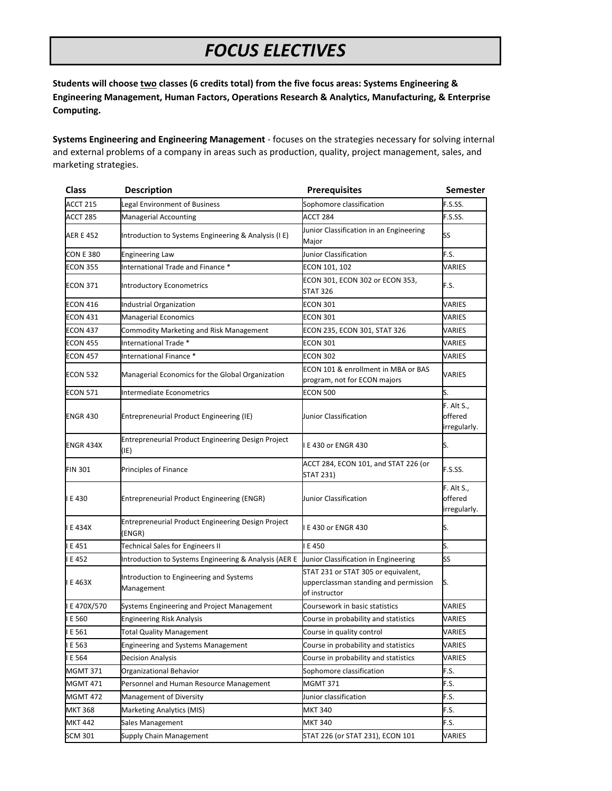## *FOCUS ELECTIVES*

**Students will choose two classes (6 credits total) from the five focus areas: Systems Engineering & Engineering Management, Human Factors, Operations Research & Analytics, Manufacturing, & Enterprise Computing.**

**Systems Engineering and Engineering Management** - focuses on the strategies necessary for solving internal and external problems of a company in areas such as production, quality, project management, sales, and marketing strategies.

| <b>Class</b>     | <b>Description</b>                                           | <b>Prerequisites</b>                                                                          | <b>Semester</b>                       |
|------------------|--------------------------------------------------------------|-----------------------------------------------------------------------------------------------|---------------------------------------|
| <b>ACCT 215</b>  | Legal Environment of Business                                | Sophomore classification                                                                      | F.S.SS.                               |
| ACCT 285         | <b>Managerial Accounting</b>                                 | ACCT 284                                                                                      | F.S.SS.                               |
| AER E 452        | Introduction to Systems Engineering & Analysis (I E)         | Junior Classification in an Engineering<br>Major                                              | SS                                    |
| CON E 380        | <b>Engineering Law</b>                                       | Junior Classification                                                                         | F.S.                                  |
| <b>ECON 355</b>  | International Trade and Finance *                            | ECON 101, 102                                                                                 | VARIES                                |
| ECON 371         | <b>Introductory Econometrics</b>                             | ECON 301, ECON 302 or ECON 353,<br><b>STAT 326</b>                                            | F.S.                                  |
| <b>ECON 416</b>  | Industrial Organization                                      | ECON 301                                                                                      | VARIES                                |
| <b>ECON 431</b>  | <b>Managerial Economics</b>                                  | <b>ECON 301</b>                                                                               | VARIES                                |
| <b>ECON 437</b>  | Commodity Marketing and Risk Management                      | ECON 235, ECON 301, STAT 326                                                                  | VARIES                                |
| <b>ECON 455</b>  | International Trade *                                        | <b>ECON 301</b>                                                                               | VARIES                                |
| <b>ECON 457</b>  | International Finance *                                      | <b>ECON 302</b>                                                                               | VARIES                                |
| <b>ECON 532</b>  | Managerial Economics for the Global Organization             | ECON 101 & enrollment in MBA or BAS<br>program, not for ECON majors                           | VARIES                                |
| <b>ECON 571</b>  | Intermediate Econometrics                                    | <b>ECON 500</b>                                                                               | S.                                    |
| <b>ENGR 430</b>  | Entrepreneurial Product Engineering (IE)                     | Junior Classification                                                                         | F. Alt S.,<br>offered<br>irregularly. |
| <b>ENGR 434X</b> | Entrepreneurial Product Engineering Design Project<br>(IE)   | E 430 or ENGR 430                                                                             | S.                                    |
| <b>FIN 301</b>   | Principles of Finance                                        | ACCT 284, ECON 101, and STAT 226 (or<br>STAT 231)                                             | F.S.SS.                               |
| E 430            | <b>Entrepreneurial Product Engineering (ENGR)</b>            | Junior Classification                                                                         | F. Alt S.,<br>offered<br>irregularly. |
| E 434X           | Entrepreneurial Product Engineering Design Project<br>(ENGR) | E 430 or ENGR 430                                                                             | S.                                    |
| E 451            | <b>Technical Sales for Engineers II</b>                      | E 450                                                                                         | S.                                    |
| E 452            | Introduction to Systems Engineering & Analysis (AER E        | Junior Classification in Engineering                                                          | SS                                    |
| E 463X           | Introduction to Engineering and Systems<br>Management        | STAT 231 or STAT 305 or equivalent,<br>upperclassman standing and permission<br>of instructor | S.                                    |
| E 470X/570       | Systems Engineering and Project Management                   | Coursework in basic statistics                                                                | VARIES                                |
| E 560            | <b>Engineering Risk Analysis</b>                             | Course in probability and statistics                                                          | VARIES                                |
| E 561            | <b>Total Quality Management</b>                              | Course in quality control                                                                     | VARIES                                |
| E 563            | <b>Engineering and Systems Management</b>                    | Course in probability and statistics                                                          | VARIES                                |
| E 564            | Decision Analysis                                            | Course in probability and statistics                                                          | VARIES                                |
| MGMT 371         | Organizational Behavior                                      | Sophomore classification                                                                      | F.S.                                  |
| <b>MGMT 471</b>  | Personnel and Human Resource Management                      | <b>MGMT 371</b>                                                                               | F.S.                                  |
| <b>MGMT 472</b>  | Management of Diversity                                      | Junior classification                                                                         | F.S.                                  |
| <b>MKT 368</b>   | Marketing Analytics (MIS)                                    | <b>MKT 340</b>                                                                                | F.S.                                  |
| <b>MKT 442</b>   | Sales Management                                             | MKT 340                                                                                       | F.S.                                  |
| SCM 301          | Supply Chain Management                                      | STAT 226 (or STAT 231), ECON 101                                                              | VARIES                                |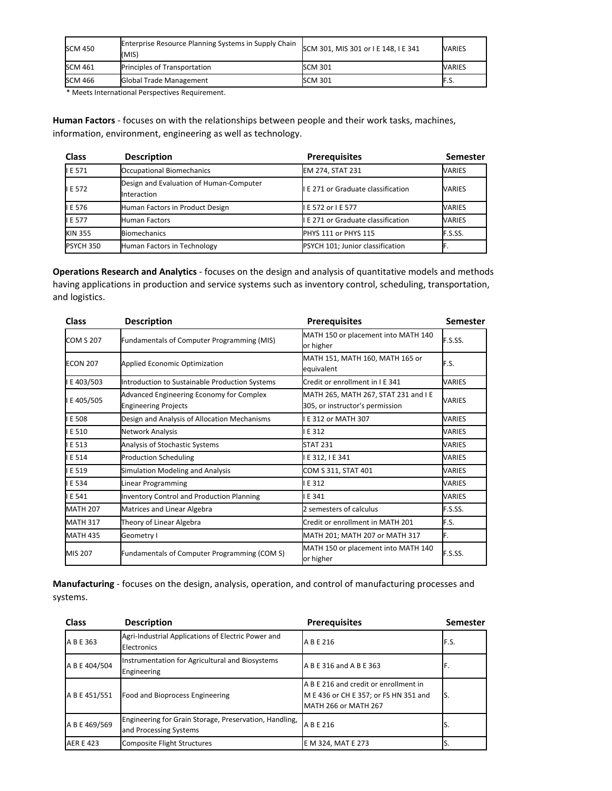| <b>SCM 450</b> | <b>Enterprise Resource Planning Systems in Supply Chain</b><br>(MIS) | SCM 301, MIS 301 or I E 148, I E 341 | <b>VARIES</b> |
|----------------|----------------------------------------------------------------------|--------------------------------------|---------------|
| <b>SCM 461</b> | <b>Principles of Transportation</b>                                  | <b>SCM 301</b>                       | <b>VARIES</b> |
| <b>SCM 466</b> | <b>Global Trade Management</b>                                       | SCM 301                              | ۶.S           |

\* Meets International Perspectives Requirement.

**Human Factors** - focuses on with the relationships between people and their work tasks, machines, information, environment, engineering as well as technology.

| <b>Class</b>   | <b>Description</b>                                     | <b>Prerequisites</b>                      | <b>Semester</b> |
|----------------|--------------------------------------------------------|-------------------------------------------|-----------------|
| <b>IE 571</b>  | Occupational Biomechanics                              | EM 274, STAT 231                          | <b>VARIES</b>   |
| <b>IE 572</b>  | Design and Evaluation of Human-Computer<br>Interaction | <b>I E 271 or Graduate classification</b> | VARIES          |
| I E 576        | Human Factors in Product Design                        | E 572 or I E 577                          | <b>VARIES</b>   |
| <b>IE 577</b>  | <b>Human Factors</b>                                   | I E 271 or Graduate classification        | <b>VARIES</b>   |
| <b>KIN 355</b> | <b>Biomechanics</b>                                    | PHYS 111 or PHYS 115                      | F.S.SS.         |
| PSYCH 350      | Human Factors in Technology                            | PSYCH 101; Junior classification          |                 |

**Operations Research and Analytics** - focuses on the design and analysis of quantitative models and methods having applications in production and service systems such as inventory control, scheduling, transportation, and logistics.

| <b>Class</b>     | <b>Description</b>                                                      | <b>Prerequisites</b>                                                    | <b>Semester</b> |
|------------------|-------------------------------------------------------------------------|-------------------------------------------------------------------------|-----------------|
| <b>COM S 207</b> | Fundamentals of Computer Programming (MIS)                              | MATH 150 or placement into MATH 140<br>or higher                        | F.S.SS.         |
| <b>ECON 207</b>  | <b>Applied Economic Optimization</b>                                    | MATH 151, MATH 160, MATH 165 or<br>equivalent                           | F.S.            |
| E 403/503        | Introduction to Sustainable Production Systems                          | Credit or enrollment in I E 341                                         | VARIES          |
| E405/505         | Advanced Engineering Economy for Complex<br><b>Engineering Projects</b> | MATH 265, MATH 267, STAT 231 and I E<br>305, or instructor's permission | VARIES          |
| E 508            | Design and Analysis of Allocation Mechanisms                            | E 312 or MATH 307                                                       | VARIES          |
| E 510            | Network Analysis                                                        | E 312                                                                   | VARIES          |
| IE 513           | Analysis of Stochastic Systems                                          | <b>STAT 231</b>                                                         | VARIES          |
| I E 514          | <b>Production Scheduling</b>                                            | E 312, I E 341                                                          | VARIES          |
| E 519            | <b>Simulation Modeling and Analysis</b>                                 | COM S 311, STAT 401                                                     | VARIES          |
| IE 534           | Linear Programming                                                      | E 312                                                                   | <b>VARIES</b>   |
| IE 541           | <b>Inventory Control and Production Planning</b>                        | E 341                                                                   | VARIES          |
| <b>MATH 207</b>  | Matrices and Linear Algebra                                             | 2 semesters of calculus                                                 | F.S.SS.         |
| <b>MATH 317</b>  | Theory of Linear Algebra                                                | Credit or enrollment in MATH 201                                        | F.S.            |
| <b>MATH 435</b>  | Geometry I                                                              | MATH 201; MATH 207 or MATH 317                                          | F.              |
| MIS 207          | Fundamentals of Computer Programming (COM S)                            | MATH 150 or placement into MATH 140<br>or higher                        | F.S.SS.         |

**Manufacturing** - focuses on the design, analysis, operation, and control of manufacturing processes and systems.

| <b>Class</b>     | <b>Description</b>                                                               | <b>Prerequisites</b>                                                                                          | <b>Semester</b> |
|------------------|----------------------------------------------------------------------------------|---------------------------------------------------------------------------------------------------------------|-----------------|
| A B E 363        | Agri-Industrial Applications of Electric Power and<br>Electronics                | A B E 216                                                                                                     | F.S.            |
| A B E 404/504    | Instrumentation for Agricultural and Biosystems<br>Engineering                   | A B E 316 and A B E 363                                                                                       | F.              |
| A B E 451/551    | Food and Bioprocess Engineering                                                  | A B E 216 and credit or enrollment in<br>M E 436 or CH E 357; or FS HN 351 and<br><b>MATH 266 or MATH 267</b> | IS.             |
| A B E 469/569    | Engineering for Grain Storage, Preservation, Handling,<br>and Processing Systems | A B E 216                                                                                                     |                 |
| <b>AER E 423</b> | Composite Flight Structures                                                      | E M 324, MAT E 273                                                                                            |                 |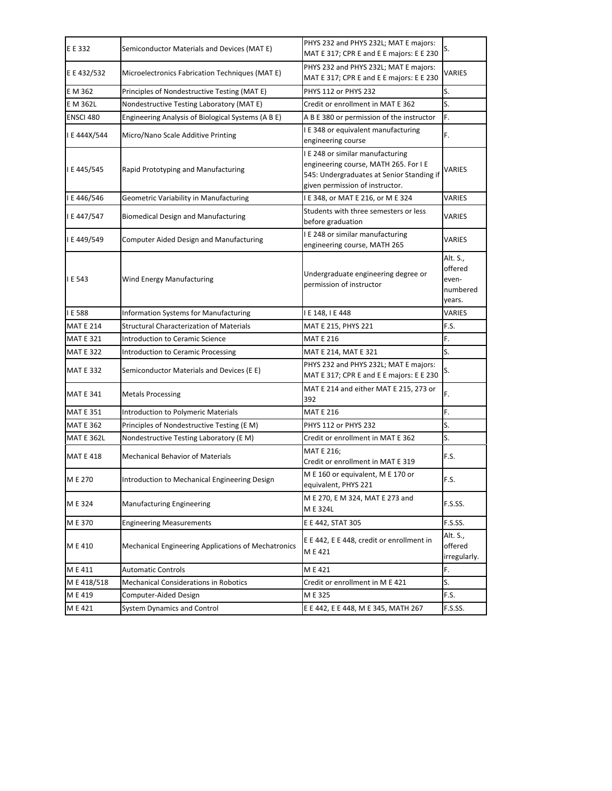| E E 332           | Semiconductor Materials and Devices (MAT E)                | PHYS 232 and PHYS 232L; MAT E majors:<br>MAT E 317; CPR E and E E majors: E E 230                                                                         | S.                                                 |
|-------------------|------------------------------------------------------------|-----------------------------------------------------------------------------------------------------------------------------------------------------------|----------------------------------------------------|
| E E 432/532       | Microelectronics Fabrication Techniques (MAT E)            | PHYS 232 and PHYS 232L; MAT E majors:<br>MAT E 317; CPR E and E E majors: E E 230                                                                         | VARIES                                             |
| E M 362           | Principles of Nondestructive Testing (MAT E)               | PHYS 112 or PHYS 232                                                                                                                                      | S.                                                 |
| E M 362L          | Nondestructive Testing Laboratory (MAT E)                  | Credit or enrollment in MAT E 362                                                                                                                         | S.                                                 |
| ENSCI 480         | Engineering Analysis of Biological Systems (A B E)         | A B E 380 or permission of the instructor                                                                                                                 | F.                                                 |
| I E 444X/544      | Micro/Nano Scale Additive Printing                         | I E 348 or equivalent manufacturing<br>engineering course                                                                                                 | F.                                                 |
| I E 445/545       | Rapid Prototyping and Manufacturing                        | I E 248 or similar manufacturing<br>engineering course, MATH 265. For I E<br>545: Undergraduates at Senior Standing if<br>given permission of instructor. | VARIES                                             |
| I E 446/546       | Geometric Variability in Manufacturing                     | I E 348, or MAT E 216, or M E 324                                                                                                                         | VARIES                                             |
| I E 447/547       | <b>Biomedical Design and Manufacturing</b>                 | Students with three semesters or less<br>before graduation                                                                                                | VARIES                                             |
| I E 449/549       | Computer Aided Design and Manufacturing                    | I E 248 or similar manufacturing<br>engineering course, MATH 265                                                                                          | VARIES                                             |
| I E 543           | Wind Energy Manufacturing                                  | Undergraduate engineering degree or<br>permission of instructor                                                                                           | Alt. S.,<br>offered<br>even-<br>numbered<br>years. |
| I E 588           | <b>Information Systems for Manufacturing</b>               | I E 148, I E 448                                                                                                                                          | VARIES                                             |
| <b>MAT E 214</b>  | <b>Structural Characterization of Materials</b>            | MAT E 215, PHYS 221                                                                                                                                       | F.S.                                               |
| <b>MAT E 321</b>  | <b>Introduction to Ceramic Science</b>                     | <b>MAT E 216</b>                                                                                                                                          | F.                                                 |
| <b>MAT E 322</b>  | <b>Introduction to Ceramic Processing</b>                  | MAT E 214, MAT E 321                                                                                                                                      | S.                                                 |
| <b>MAT E 332</b>  | Semiconductor Materials and Devices (E E)                  | PHYS 232 and PHYS 232L; MAT E majors:<br>MAT E 317; CPR E and E E majors: E E 230                                                                         | S.                                                 |
| <b>MAT E 341</b>  | <b>Metals Processing</b>                                   | MAT E 214 and either MAT E 215, 273 or<br>392                                                                                                             | F.                                                 |
| <b>MAT E 351</b>  | <b>Introduction to Polymeric Materials</b>                 | <b>MAT E 216</b>                                                                                                                                          | F.                                                 |
| <b>MAT E 362</b>  | Principles of Nondestructive Testing (E M)                 | <b>PHYS 112 or PHYS 232</b>                                                                                                                               | S.                                                 |
| <b>MAT E 362L</b> | Nondestructive Testing Laboratory (E M)                    | Credit or enrollment in MAT E 362                                                                                                                         | S.                                                 |
| <b>MAT E 418</b>  | <b>Mechanical Behavior of Materials</b>                    | MAT E 216;<br>Credit or enrollment in MAT E 319                                                                                                           | F.S.                                               |
| M E 270           | Introduction to Mechanical Engineering Design              | M E 160 or equivalent, M E 170 or<br>equivalent, PHYS 221                                                                                                 | F.S.                                               |
| M E 324           | <b>Manufacturing Engineering</b>                           | M E 270, E M 324, MAT E 273 and<br>M E 324L                                                                                                               | F.S.SS.                                            |
| M E 370           | <b>Engineering Measurements</b>                            | E E 442, STAT 305                                                                                                                                         | F.S.SS.                                            |
| M E 410           | <b>Mechanical Engineering Applications of Mechatronics</b> | E E 442, E E 448, credit or enrollment in<br>M E 421                                                                                                      | Alt. S.,<br>offered<br>irregularly.                |
| M E 411           | <b>Automatic Controls</b>                                  | M E 421                                                                                                                                                   | F.                                                 |
| ME418/518         | <b>Mechanical Considerations in Robotics</b>               | Credit or enrollment in M E 421                                                                                                                           | S.                                                 |
| M E 419           | Computer-Aided Design                                      | ME325                                                                                                                                                     | F.S.                                               |
| M E 421           | <b>System Dynamics and Control</b>                         | E E 442, E E 448, M E 345, MATH 267                                                                                                                       | F.S.SS.                                            |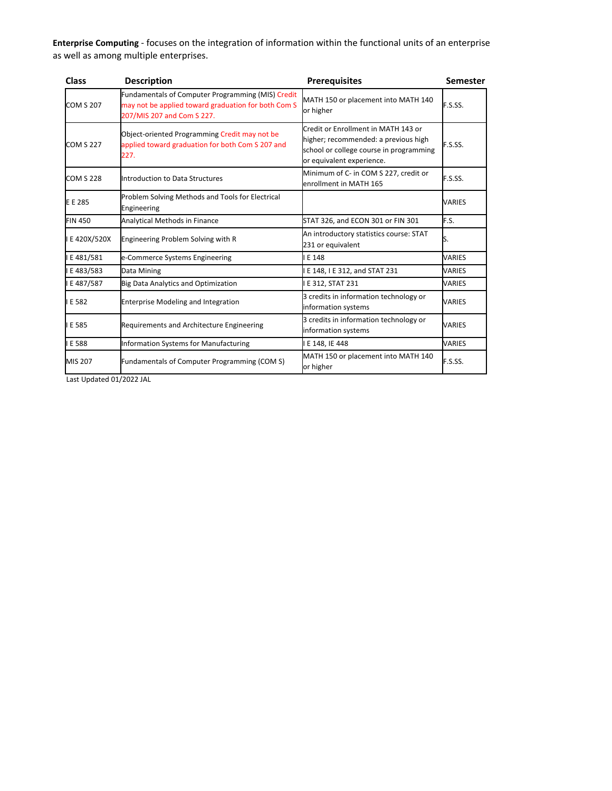**Enterprise Computing** - focuses on the integration of information within the functional units of an enterprise as well as among multiple enterprises.

| <b>Class</b>     | <b>Description</b>                                                                                                                            | <b>Prerequisites</b>                                                                                                                                | <b>Semester</b> |
|------------------|-----------------------------------------------------------------------------------------------------------------------------------------------|-----------------------------------------------------------------------------------------------------------------------------------------------------|-----------------|
| <b>COM S 207</b> | <b>Fundamentals of Computer Programming (MIS) Credit</b><br>may not be applied toward graduation for both Com S<br>207/MIS 207 and Com S 227. | MATH 150 or placement into MATH 140<br>or higher                                                                                                    | F.S.SS.         |
| <b>COM S 227</b> | Object-oriented Programming Credit may not be<br>applied toward graduation for both Com S 207 and<br>227.                                     | Credit or Enrollment in MATH 143 or<br>higher; recommended: a previous high<br>school or college course in programming<br>or equivalent experience. | F.S.SS.         |
| <b>COM S 228</b> | Introduction to Data Structures                                                                                                               | Minimum of C- in COM S 227, credit or<br>enrollment in MATH 165                                                                                     | F.S.SS.         |
| E E 285          | Problem Solving Methods and Tools for Electrical<br>Engineering                                                                               |                                                                                                                                                     | VARIES          |
| <b>FIN 450</b>   | Analytical Methods in Finance                                                                                                                 | STAT 326, and ECON 301 or FIN 301                                                                                                                   | F.S.            |
| E 420X/520X      | Engineering Problem Solving with R                                                                                                            | An introductory statistics course: STAT<br>231 or equivalent                                                                                        | S.              |
| E 481/581        | e-Commerce Systems Engineering                                                                                                                | E 148                                                                                                                                               | VARIES          |
| E 483/583        | Data Mining                                                                                                                                   | E 148, I E 312, and STAT 231                                                                                                                        | VARIES          |
| E 487/587        | <b>Big Data Analytics and Optimization</b>                                                                                                    | E 312, STAT 231                                                                                                                                     | <b>VARIES</b>   |
| E 582            | <b>Enterprise Modeling and Integration</b>                                                                                                    | 3 credits in information technology or<br>information systems                                                                                       | VARIES          |
| E 585            | Requirements and Architecture Engineering                                                                                                     | 3 credits in information technology or<br>information systems                                                                                       | VARIES          |
| E 588            | Information Systems for Manufacturing                                                                                                         | E 148, IE 448                                                                                                                                       | VARIES          |
| MIS 207          | Fundamentals of Computer Programming (COM S)                                                                                                  | MATH 150 or placement into MATH 140<br>or higher                                                                                                    | F.S.SS.         |

Last Updated 01/2022 JAL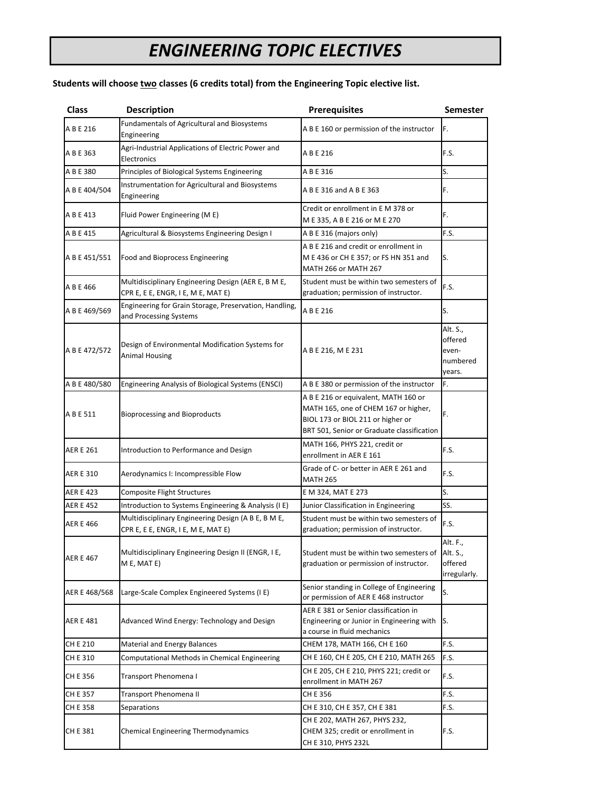# *ENGINEERING TOPIC ELECTIVES*

#### **Students will choose two classes (6 credits total) from the Engineering Topic elective list.**

| <b>Class</b>     | <b>Description</b>                                                                        | <b>Prerequisites</b>                                                                                                                                            | <b>Semester</b>                                    |
|------------------|-------------------------------------------------------------------------------------------|-----------------------------------------------------------------------------------------------------------------------------------------------------------------|----------------------------------------------------|
| A B E 216        | Fundamentals of Agricultural and Biosystems<br>Engineering                                | A B E 160 or permission of the instructor                                                                                                                       | F.                                                 |
| A B E 363        | Agri-Industrial Applications of Electric Power and<br>Electronics                         | A B E 216                                                                                                                                                       | F.S.                                               |
| A B E 380        | Principles of Biological Systems Engineering                                              | A B E 316                                                                                                                                                       | S.                                                 |
| A B E 404/504    | Instrumentation for Agricultural and Biosystems<br>Engineering                            | A B E 316 and A B E 363                                                                                                                                         | F.                                                 |
| A B E 413        | Fluid Power Engineering (ME)                                                              | Credit or enrollment in E M 378 or<br>M E 335, A B E 216 or M E 270                                                                                             | F.                                                 |
| A B E 415        | Agricultural & Biosystems Engineering Design I                                            | A B E 316 (majors only)                                                                                                                                         | F.S.                                               |
| A B E 451/551    | <b>Food and Bioprocess Engineering</b>                                                    | A B E 216 and credit or enrollment in<br>M E 436 or CH E 357; or FS HN 351 and<br>MATH 266 or MATH 267                                                          | S.                                                 |
| A B E 466        | Multidisciplinary Engineering Design (AER E, B M E,<br>CPR E, E E, ENGR, I E, M E, MAT E) | Student must be within two semesters of<br>graduation; permission of instructor.                                                                                | F.S.                                               |
| A B E 469/569    | Engineering for Grain Storage, Preservation, Handling,<br>and Processing Systems          | A B E 216                                                                                                                                                       | S.                                                 |
| A B E 472/572    | Design of Environmental Modification Systems for<br><b>Animal Housing</b>                 | A B E 216, M E 231                                                                                                                                              | Alt. S.,<br>offered<br>even-<br>numbered<br>vears. |
| A B E 480/580    | Engineering Analysis of Biological Systems (ENSCI)                                        | A B E 380 or permission of the instructor                                                                                                                       | F.                                                 |
| A B E 511        | <b>Bioprocessing and Bioproducts</b>                                                      | A B E 216 or equivalent, MATH 160 or<br>MATH 165, one of CHEM 167 or higher,<br>BIOL 173 or BIOL 211 or higher or<br>BRT 501, Senior or Graduate classification | F.                                                 |
| <b>AER E 261</b> | Introduction to Performance and Design                                                    | MATH 166, PHYS 221, credit or<br>enrollment in AER E 161                                                                                                        | F.S.                                               |
| <b>AER E 310</b> | Aerodynamics I: Incompressible Flow                                                       | Grade of C- or better in AER E 261 and<br><b>MATH 265</b>                                                                                                       | F.S.                                               |
| <b>AER E 423</b> | <b>Composite Flight Structures</b>                                                        | E M 324, MAT E 273                                                                                                                                              | S.                                                 |
| AER E 452        | Introduction to Systems Engineering & Analysis (I E)                                      | Junior Classification in Engineering                                                                                                                            | SS.                                                |
| <b>AER E 466</b> | Multidisciplinary Engineering Design (A B E, B M E,<br>CPR E, E E, ENGR, I E, M E, MAT E) | Student must be within two semesters of<br>graduation; permission of instructor.                                                                                | F.S.                                               |
| <b>AER E 467</b> | Multidisciplinary Engineering Design II (ENGR, I E,<br>M E, MAT E)                        | Student must be within two semesters of<br>graduation or permission of instructor.                                                                              | Alt. F.,<br>Alt. S.,<br>offered<br>irregularly.    |
| AER E 468/568    | Large-Scale Complex Engineered Systems (I E)                                              | Senior standing in College of Engineering<br>or permission of AER E 468 instructor                                                                              | S.                                                 |
| AER E 481        | Advanced Wind Energy: Technology and Design                                               | AER E 381 or Senior classification in<br>Engineering or Junior in Engineering with<br>a course in fluid mechanics                                               | IS.                                                |
| CH E 210         | Material and Energy Balances                                                              | CHEM 178, MATH 166, CH E 160                                                                                                                                    | F.S.                                               |
| CH E 310         | Computational Methods in Chemical Engineering                                             | CH E 160, CH E 205, CH E 210, MATH 265                                                                                                                          | F.S.                                               |
| CH E 356         | Transport Phenomena I                                                                     | CH E 205, CH E 210, PHYS 221; credit or<br>enrollment in MATH 267                                                                                               | F.S.                                               |
| CH E 357         | Transport Phenomena II                                                                    | CH E 356                                                                                                                                                        | F.S.                                               |
| CH E 358         | <b>Separations</b>                                                                        | CH E 310, CH E 357, CH E 381                                                                                                                                    | F.S.                                               |
| CH E 381         | Chemical Engineering Thermodynamics                                                       | CH E 202, MATH 267, PHYS 232,<br>CHEM 325; credit or enrollment in<br>CH E 310, PHYS 232L                                                                       | F.S.                                               |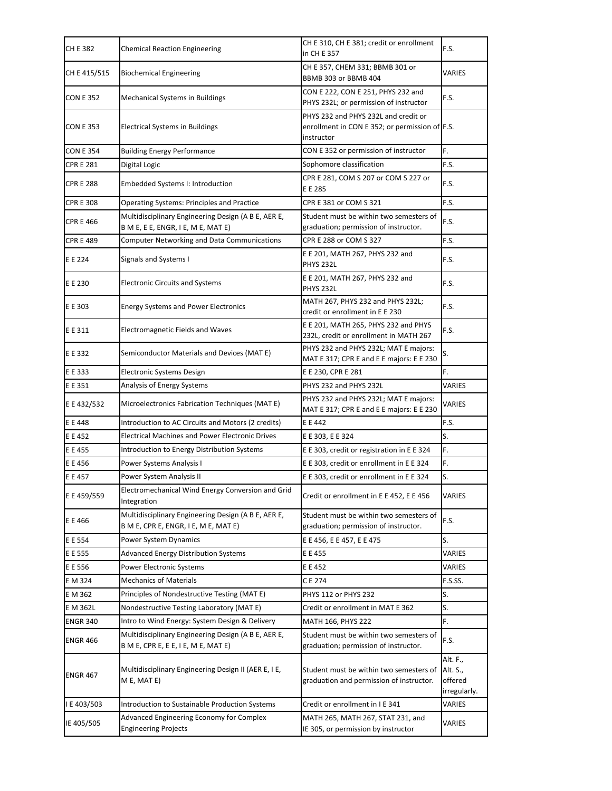| CH E 382         | <b>Chemical Reaction Engineering</b>                                                        | CH E 310, CH E 381; credit or enrollment<br>in CH E 357                                              | F.S.                                            |
|------------------|---------------------------------------------------------------------------------------------|------------------------------------------------------------------------------------------------------|-------------------------------------------------|
| CH E 415/515     | <b>Biochemical Engineering</b>                                                              | CH E 357, CHEM 331; BBMB 301 or<br>BBMB 303 or BBMB 404                                              | VARIES                                          |
| <b>CON E 352</b> | <b>Mechanical Systems in Buildings</b>                                                      | CON E 222, CON E 251, PHYS 232 and<br>PHYS 232L; or permission of instructor                         | F.S.                                            |
| <b>CON E 353</b> | <b>Electrical Systems in Buildings</b>                                                      | PHYS 232 and PHYS 232L and credit or<br>enrollment in CON E 352; or permission of F.S.<br>instructor |                                                 |
| <b>CON E 354</b> | <b>Building Energy Performance</b>                                                          | CON E 352 or permission of instructor                                                                | F.                                              |
| <b>CPR E 281</b> | Digital Logic                                                                               | Sophomore classification                                                                             | F.S.                                            |
| <b>CPR E 288</b> | <b>Embedded Systems I: Introduction</b>                                                     | CPR E 281, COM S 207 or COM S 227 or<br>E E 285                                                      | F.S.                                            |
| <b>CPR E 308</b> | <b>Operating Systems: Principles and Practice</b>                                           | CPR E 381 or COM S 321                                                                               | F.S.                                            |
| <b>CPR E 466</b> | Multidisciplinary Engineering Design (A B E, AER E,<br>B M E, E E, ENGR, I E, M E, MAT E)   | Student must be within two semesters of<br>graduation; permission of instructor.                     | F.S.                                            |
| <b>CPR E 489</b> | <b>Computer Networking and Data Communications</b>                                          | CPR E 288 or COM S 327                                                                               | F.S.                                            |
| E E 224          | Signals and Systems I                                                                       | E E 201, MATH 267, PHYS 232 and<br><b>PHYS 232L</b>                                                  | F.S.                                            |
| E E 230          | <b>Electronic Circuits and Systems</b>                                                      | E E 201, MATH 267, PHYS 232 and<br><b>PHYS 232L</b>                                                  | F.S.                                            |
| E E 303          | <b>Energy Systems and Power Electronics</b>                                                 | MATH 267, PHYS 232 and PHYS 232L;<br>credit or enrollment in E E 230                                 | F.S.                                            |
| E E 311          | <b>Electromagnetic Fields and Waves</b>                                                     | E E 201, MATH 265, PHYS 232 and PHYS<br>232L, credit or enrollment in MATH 267                       | F.S.                                            |
| E E 332          | Semiconductor Materials and Devices (MAT E)                                                 | PHYS 232 and PHYS 232L; MAT E majors:<br>MAT E 317; CPR E and E E majors: E E 230                    | S.                                              |
| E E 333          | Electronic Systems Design                                                                   | E E 230, CPR E 281                                                                                   | F.                                              |
| E E 351          | Analysis of Energy Systems                                                                  | PHYS 232 and PHYS 232L                                                                               | VARIES                                          |
| E E 432/532      | Microelectronics Fabrication Techniques (MAT E)                                             | PHYS 232 and PHYS 232L; MAT E majors:<br>MAT E 317; CPR E and E E majors: E E 230                    | VARIES                                          |
| E E 448          | Introduction to AC Circuits and Motors (2 credits)                                          | E E 442                                                                                              | F.S.                                            |
| E E 452          | <b>Electrical Machines and Power Electronic Drives</b>                                      | E E 303, E E 324                                                                                     | S.                                              |
| E E 455          | Introduction to Energy Distribution Systems                                                 | E E 303, credit or registration in E E 324                                                           | F.                                              |
| E E 456          | Power Systems Analysis I                                                                    | E E 303, credit or enrollment in E E 324                                                             | F.                                              |
| E E 457          | Power System Analysis II                                                                    | E E 303, credit or enrollment in E E 324                                                             | S.                                              |
| E E 459/559      | Electromechanical Wind Energy Conversion and Grid<br>Integration                            | Credit or enrollment in E E 452, E E 456                                                             | VARIES                                          |
| E E 466          | Multidisciplinary Engineering Design (A B E, AER E,<br>B M E, CPR E, ENGR, I E, M E, MAT E) | Student must be within two semesters of<br>graduation; permission of instructor.                     | F.S.                                            |
| E E 554          | <b>Power System Dynamics</b>                                                                | E E 456, E E 457, E E 475                                                                            | S.                                              |
| E E 555          | Advanced Energy Distribution Systems                                                        | E E 455                                                                                              | VARIES                                          |
| E E 556          | Power Electronic Systems                                                                    | E E 452                                                                                              | VARIES                                          |
| E M 324          | <b>Mechanics of Materials</b>                                                               | CE 274                                                                                               | F.S.SS.                                         |
| E M 362          | Principles of Nondestructive Testing (MAT E)                                                | PHYS 112 or PHYS 232                                                                                 | S.                                              |
| E M 362L         | Nondestructive Testing Laboratory (MAT E)                                                   | Credit or enrollment in MAT E 362                                                                    | S.                                              |
| <b>ENGR 340</b>  | Intro to Wind Energy: System Design & Delivery                                              | MATH 166, PHYS 222                                                                                   | F.                                              |
| <b>ENGR 466</b>  | Multidisciplinary Engineering Design (A B E, AER E,<br>B M E, CPR E, E E, I E, M E, MAT E)  | Student must be within two semesters of<br>graduation; permission of instructor.                     | F.S.                                            |
| <b>ENGR 467</b>  | Multidisciplinary Engineering Design II (AER E, I E,<br>M E, MAT E)                         | Student must be within two semesters of<br>graduation and permission of instructor.                  | Alt. F.,<br>Alt. S.,<br>offered<br>irregularly. |
| I E 403/503      | Introduction to Sustainable Production Systems                                              | Credit or enrollment in I E 341                                                                      | VARIES                                          |
| IE 405/505       | Advanced Engineering Economy for Complex<br><b>Engineering Projects</b>                     | MATH 265, MATH 267, STAT 231, and<br>IE 305, or permission by instructor                             | VARIES                                          |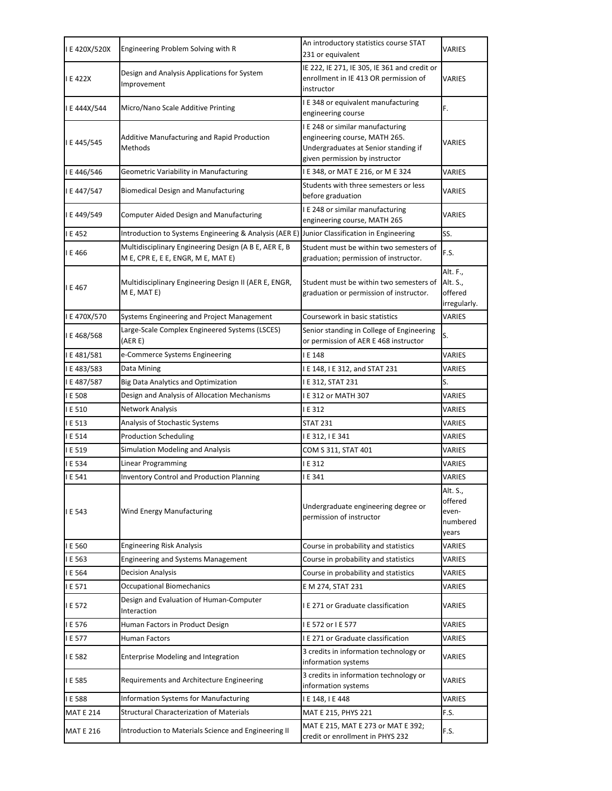| I E 420X/520X    | Engineering Problem Solving with R                                                          | An introductory statistics course STAT<br>231 or equivalent                                                                                 | VARIES                                            |
|------------------|---------------------------------------------------------------------------------------------|---------------------------------------------------------------------------------------------------------------------------------------------|---------------------------------------------------|
| I E 422X         | Design and Analysis Applications for System<br>Improvement                                  | IE 222, IE 271, IE 305, IE 361 and credit or<br>enrollment in IE 413 OR permission of<br>instructor                                         | VARIES                                            |
| I E 444X/544     | Micro/Nano Scale Additive Printing                                                          | I E 348 or equivalent manufacturing<br>engineering course                                                                                   | F.                                                |
| I E 445/545      | <b>Additive Manufacturing and Rapid Production</b><br>Methods                               | I E 248 or similar manufacturing<br>engineering course, MATH 265.<br>Undergraduates at Senior standing if<br>given permission by instructor | VARIES                                            |
| I E 446/546      | Geometric Variability in Manufacturing                                                      | I E 348, or MAT E 216, or M E 324                                                                                                           | <b>VARIES</b>                                     |
| I E 447/547      | <b>Biomedical Design and Manufacturing</b>                                                  | Students with three semesters or less<br>before graduation                                                                                  | VARIES                                            |
| I E 449/549      | <b>Computer Aided Design and Manufacturing</b>                                              | I E 248 or similar manufacturing<br>engineering course, MATH 265                                                                            | VARIES                                            |
| I E 452          | Introduction to Systems Engineering & Analysis (AER E) Junior Classification in Engineering |                                                                                                                                             | SS.                                               |
| I E 466          | Multidisciplinary Engineering Design (A B E, AER E, B<br>M E, CPR E, E E, ENGR, M E, MAT E) | Student must be within two semesters of<br>graduation; permission of instructor.                                                            | F.S.                                              |
| I E 467          | Multidisciplinary Engineering Design II (AER E, ENGR,<br>M E, MAT E)                        | Student must be within two semesters of<br>graduation or permission of instructor.                                                          | Alt. F.,<br>Alt. S.,<br>offered<br>irregularly.   |
| I E 470X/570     | Systems Engineering and Project Management                                                  | Coursework in basic statistics                                                                                                              | VARIES                                            |
| I E 468/568      | Large-Scale Complex Engineered Systems (LSCES)<br>(AERE)                                    | Senior standing in College of Engineering<br>or permission of AER E 468 instructor                                                          | S.                                                |
| I E 481/581      | e-Commerce Systems Engineering                                                              | I E 148                                                                                                                                     | VARIES                                            |
| I E 483/583      | Data Mining                                                                                 | I E 148, I E 312, and STAT 231                                                                                                              | VARIES                                            |
| I E 487/587      | <b>Big Data Analytics and Optimization</b>                                                  | I E 312, STAT 231                                                                                                                           | S.                                                |
|                  |                                                                                             |                                                                                                                                             |                                                   |
| I E 508          | Design and Analysis of Allocation Mechanisms                                                | I E 312 or MATH 307                                                                                                                         | VARIES                                            |
| I E 510          | Network Analysis                                                                            | I E 312                                                                                                                                     | VARIES                                            |
| IE 513           | Analysis of Stochastic Systems                                                              | <b>STAT 231</b>                                                                                                                             | VARIES                                            |
| I E 514          | <b>Production Scheduling</b>                                                                | I E 312, I E 341                                                                                                                            | <b>VARIES</b>                                     |
| I E 519          | Simulation Modeling and Analysis                                                            | COM S 311, STAT 401                                                                                                                         | VARIES                                            |
| I E 534          | Linear Programming                                                                          | I E 312                                                                                                                                     | VARIES                                            |
| I E 541          | <b>Inventory Control and Production Planning</b>                                            | IE341                                                                                                                                       | VARIES                                            |
| I E 543          | Wind Energy Manufacturing                                                                   | Undergraduate engineering degree or<br>permission of instructor                                                                             | Alt. S.,<br>offered<br>even-<br>numbered<br>vears |
| I E 560          | <b>Engineering Risk Analysis</b>                                                            | Course in probability and statistics                                                                                                        | VARIES                                            |
| I E 563          | <b>Engineering and Systems Management</b>                                                   | Course in probability and statistics                                                                                                        | VARIES                                            |
| I E 564          | <b>Decision Analysis</b>                                                                    | Course in probability and statistics                                                                                                        | VARIES                                            |
| IE 571           | <b>Occupational Biomechanics</b>                                                            | E M 274, STAT 231                                                                                                                           | VARIES                                            |
| I E 572          | Design and Evaluation of Human-Computer<br>Interaction                                      | I E 271 or Graduate classification                                                                                                          | VARIES                                            |
| I E 576          | Human Factors in Product Design                                                             | I E 572 or I E 577                                                                                                                          | VARIES                                            |
| I E 577          | Human Factors                                                                               | I E 271 or Graduate classification                                                                                                          | VARIES                                            |
| I E 582          | <b>Enterprise Modeling and Integration</b>                                                  | 3 credits in information technology or<br>information systems                                                                               | VARIES                                            |
| I E 585          | Requirements and Architecture Engineering                                                   | 3 credits in information technology or<br>information systems                                                                               | VARIES                                            |
| I E 588          | Information Systems for Manufacturing                                                       | I E 148, I E 448                                                                                                                            | VARIES                                            |
| <b>MAT E 214</b> | <b>Structural Characterization of Materials</b>                                             | MAT E 215, PHYS 221                                                                                                                         | F.S.                                              |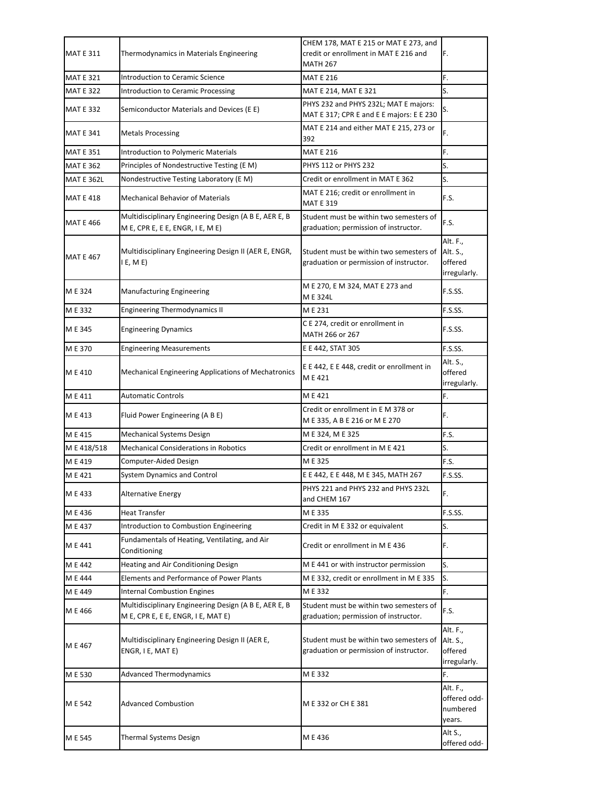| <b>MAT E 311</b>  | Thermodynamics in Materials Engineering                                                     | CHEM 178, MAT E 215 or MAT E 273, and<br>credit or enrollment in MAT E 216 and<br><b>MATH 267</b> | F.                                              |
|-------------------|---------------------------------------------------------------------------------------------|---------------------------------------------------------------------------------------------------|-------------------------------------------------|
| <b>MAT E 321</b>  | Introduction to Ceramic Science                                                             | <b>MAT E 216</b>                                                                                  | F.                                              |
| <b>MAT E 322</b>  | <b>Introduction to Ceramic Processing</b>                                                   | MAT E 214, MAT E 321                                                                              | S.                                              |
| <b>MAT E 332</b>  | Semiconductor Materials and Devices (E E)                                                   | PHYS 232 and PHYS 232L; MAT E majors:<br>MAT E 317; CPR E and E E majors: E E 230                 | s.                                              |
| <b>MAT E 341</b>  | <b>Metals Processing</b>                                                                    | MAT E 214 and either MAT E 215, 273 or<br>392                                                     | F.                                              |
| <b>MAT E 351</b>  | <b>Introduction to Polymeric Materials</b>                                                  | <b>MAT E 216</b>                                                                                  | F.                                              |
| <b>MAT E 362</b>  | Principles of Nondestructive Testing (E M)                                                  | <b>PHYS 112 or PHYS 232</b>                                                                       | S.                                              |
| <b>MAT E 362L</b> | Nondestructive Testing Laboratory (E M)                                                     | Credit or enrollment in MAT E 362                                                                 | S.                                              |
| <b>MAT E 418</b>  | <b>Mechanical Behavior of Materials</b>                                                     | MAT E 216; credit or enrollment in<br><b>MAT E 319</b>                                            | F.S.                                            |
| <b>MAT E 466</b>  | Multidisciplinary Engineering Design (A B E, AER E, B<br>M E, CPR E, E E, ENGR, I E, M E)   | Student must be within two semesters of<br>graduation; permission of instructor.                  | F.S.                                            |
| <b>MAT E 467</b>  | Multidisciplinary Engineering Design II (AER E, ENGR,<br>E, M E                             | Student must be within two semesters of<br>graduation or permission of instructor.                | Alt. F.,<br>Alt. S.,<br>offered<br>irregularly. |
| M E 324           | <b>Manufacturing Engineering</b>                                                            | M E 270, E M 324, MAT E 273 and<br>ME324L                                                         | F.S.SS.                                         |
| M E 332           | <b>Engineering Thermodynamics II</b>                                                        | ME 231                                                                                            | F.S.SS.                                         |
| M E 345           | <b>Engineering Dynamics</b>                                                                 | C E 274, credit or enrollment in<br>MATH 266 or 267                                               | F.S.SS.                                         |
| M E 370           | <b>Engineering Measurements</b>                                                             | E E 442, STAT 305                                                                                 | F.S.SS.                                         |
| M E 410           | <b>Mechanical Engineering Applications of Mechatronics</b>                                  | E E 442, E E 448, credit or enrollment in<br>ME421                                                | Alt. S.,<br>offered<br>irregularly.             |
| M E 411           | <b>Automatic Controls</b>                                                                   | ME421                                                                                             | F.                                              |
| M E 413           | Fluid Power Engineering (A B E)                                                             | Credit or enrollment in E M 378 or<br>M E 335, A B E 216 or M E 270                               | F.                                              |
| M E 415           | Mechanical Systems Design                                                                   | M E 324, M E 325                                                                                  | F.S.                                            |
| M E 418/518       | <b>Mechanical Considerations in Robotics</b>                                                | Credit or enrollment in M E 421                                                                   | S.                                              |
| M E 419           | Computer-Aided Design                                                                       | ME325                                                                                             | F.S.                                            |
| M E 421           | <b>System Dynamics and Control</b>                                                          | E E 442, E E 448, M E 345, MATH 267                                                               | F.S.SS.                                         |
| M E 433           | <b>Alternative Energy</b>                                                                   | PHYS 221 and PHYS 232 and PHYS 232L<br>and CHEM 167                                               | F.                                              |
| M E 436           | <b>Heat Transfer</b>                                                                        | M E 335                                                                                           | F.S.SS.                                         |
| M E 437           | Introduction to Combustion Engineering                                                      | Credit in M E 332 or equivalent                                                                   | S.                                              |
| M E 441           | Fundamentals of Heating, Ventilating, and Air<br>Conditioning                               | Credit or enrollment in M E 436                                                                   | F.                                              |
| M E 442           | Heating and Air Conditioning Design                                                         | M E 441 or with instructor permission                                                             | S.                                              |
| M E 444           | <b>Elements and Performance of Power Plants</b>                                             | M E 332, credit or enrollment in M E 335                                                          | S.                                              |
| M E 449           | <b>Internal Combustion Engines</b>                                                          | M E 332                                                                                           | F.                                              |
| M E 466           | Multidisciplinary Engineering Design (A B E, AER E, B<br>M E, CPR E, E E, ENGR, I E, MAT E) | Student must be within two semesters of<br>graduation; permission of instructor.                  | F.S.                                            |
| M E 467           | Multidisciplinary Engineering Design II (AER E,<br>ENGR, I E, MAT E)                        | Student must be within two semesters of<br>graduation or permission of instructor.                | Alt. F.,<br>Alt. S.,<br>offered<br>irregularly. |
| M E 530           | <b>Advanced Thermodynamics</b>                                                              | ME332                                                                                             | F.                                              |
| M E 542           | <b>Advanced Combustion</b>                                                                  | M E 332 or CH E 381                                                                               | Alt. F.,<br>offered odd-<br>numbered<br>years.  |
| M E 545           | Thermal Systems Design                                                                      | M E 436                                                                                           | Alt S.,<br>offered odd-                         |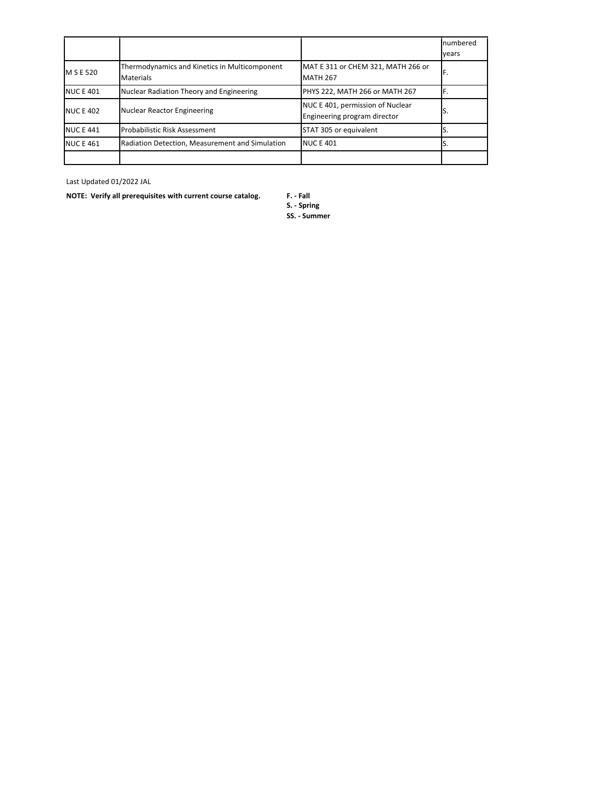|                  |                                                                   |                                                                  | numbered |
|------------------|-------------------------------------------------------------------|------------------------------------------------------------------|----------|
|                  |                                                                   |                                                                  | vears    |
| M S E 520        | Thermodynamics and Kinetics in Multicomponent<br><b>Materials</b> | MAT E 311 or CHEM 321, MATH 266 or<br><b>MATH 267</b>            |          |
| <b>NUC E 401</b> | Nuclear Radiation Theory and Engineering                          | PHYS 222, MATH 266 or MATH 267                                   |          |
| <b>NUC E 402</b> | Nuclear Reactor Engineering                                       | NUC E 401, permission of Nuclear<br>Engineering program director | IJ.      |
| <b>NUC E 441</b> | <b>Probabilistic Risk Assessment</b>                              | STAT 305 or equivalent                                           |          |
| <b>NUC E 461</b> | Radiation Detection, Measurement and Simulation                   | <b>NUC E 401</b>                                                 |          |
|                  |                                                                   |                                                                  |          |

Last Updated 01/2022 JAL

**NOTE: Verify all prerequisites with current course catalog. F. - Fall**

**S. - Spring**

**SS. - Summer**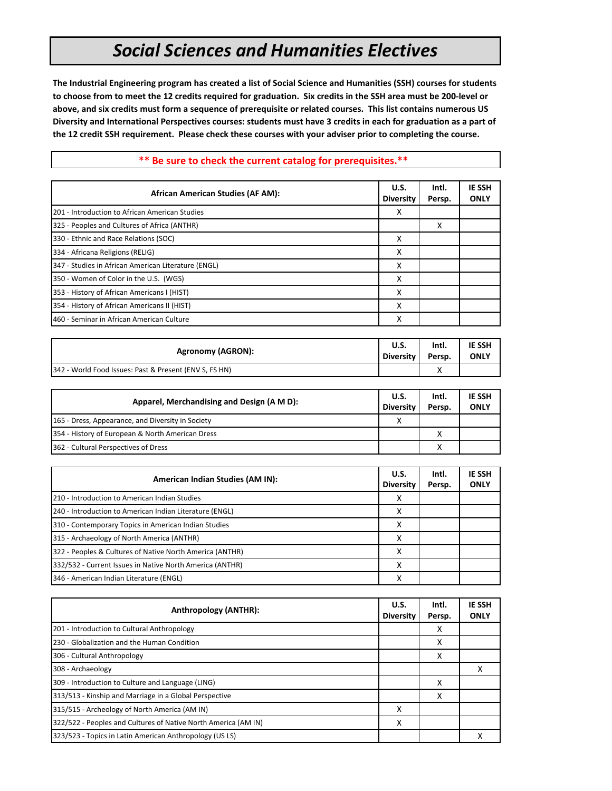### *Social Sciences and Humanities Electives*

**The Industrial Engineering program has created a list of Social Science and Humanities (SSH) courses for students to choose from to meet the 12 credits required for graduation. Six credits in the SSH area must be 200-level or above, and six credits must form a sequence of prerequisite or related courses. This list contains numerous US Diversity and International Perspectives courses: students must have 3 credits in each for graduation as a part of the 12 credit SSH requirement. Please check these courses with your adviser prior to completing the course.**

| <b>African American Studies (AF AM):</b>                 | U.S.<br><b>Diversity</b>        | Intl.<br>Persp. | <b>IE SSH</b><br><b>ONLY</b> |
|----------------------------------------------------------|---------------------------------|-----------------|------------------------------|
| 201 - Introduction to African American Studies           | x                               |                 |                              |
| 325 - Peoples and Cultures of Africa (ANTHR)             |                                 | X               |                              |
| 330 - Ethnic and Race Relations (SOC)                    | x                               |                 |                              |
| 334 - Africana Religions (RELIG)                         | x                               |                 |                              |
| 347 - Studies in African American Literature (ENGL)      | X                               |                 |                              |
| 350 - Women of Color in the U.S. (WGS)                   | x                               |                 |                              |
| 353 - History of African Americans I (HIST)              | x                               |                 |                              |
| 354 - History of African Americans II (HIST)             | x                               |                 |                              |
| 460 - Seminar in African American Culture                | x                               |                 |                              |
|                                                          |                                 |                 |                              |
| <b>Agronomy (AGRON):</b>                                 | U.S.<br><b>Diversity</b>        | Intl.<br>Persp. | <b>IE SSH</b><br><b>ONLY</b> |
| 342 - World Food Issues: Past & Present (ENV S, FS HN)   |                                 | Х               |                              |
|                                                          |                                 |                 |                              |
| Apparel, Merchandising and Design (A M D):               | <b>U.S.</b><br><b>Diversity</b> | Intl.<br>Persp. | <b>IE SSH</b><br><b>ONLY</b> |
| 165 - Dress, Appearance, and Diversity in Society        | x                               |                 |                              |
| 354 - History of European & North American Dress         |                                 | X               |                              |
| 362 - Cultural Perspectives of Dress                     |                                 | x               |                              |
|                                                          |                                 |                 |                              |
| American Indian Studies (AM IN):                         | U.S.<br><b>Diversity</b>        | Intl.<br>Persp. | <b>IE SSH</b><br><b>ONLY</b> |
| 210 - Introduction to American Indian Studies            | x                               |                 |                              |
| 240 - Introduction to American Indian Literature (ENGL)  | x                               |                 |                              |
| 310 - Contemporary Topics in American Indian Studies     | x                               |                 |                              |
| 315 - Archaeology of North America (ANTHR)               | x                               |                 |                              |
| 322 - Peoples & Cultures of Native North America (ANTHR) | х                               |                 |                              |
| 332/532 - Current Issues in Native North America (ANTHR) | x                               |                 |                              |
| 346 - American Indian Literature (ENGL)                  | x                               |                 |                              |

#### **\*\* Be sure to check the current catalog for prerequisites.\*\***

| Anthropology (ANTHR):                                          | U.S.<br><b>Diversity</b> | Intl.<br>Persp. | <b>IE SSH</b><br><b>ONLY</b> |
|----------------------------------------------------------------|--------------------------|-----------------|------------------------------|
| 201 - Introduction to Cultural Anthropology                    |                          | х               |                              |
| 230 - Globalization and the Human Condition                    |                          | X               |                              |
| 306 - Cultural Anthropology                                    |                          | X               |                              |
| 308 - Archaeology                                              |                          |                 | х                            |
| 309 - Introduction to Culture and Language (LING)              |                          | X               |                              |
| 313/513 - Kinship and Marriage in a Global Perspective         |                          | х               |                              |
| 315/515 - Archeology of North America (AM IN)                  | X                        |                 |                              |
| 322/522 - Peoples and Cultures of Native North America (AM IN) | X                        |                 |                              |
| 323/523 - Topics in Latin American Anthropology (US LS)        |                          |                 | x                            |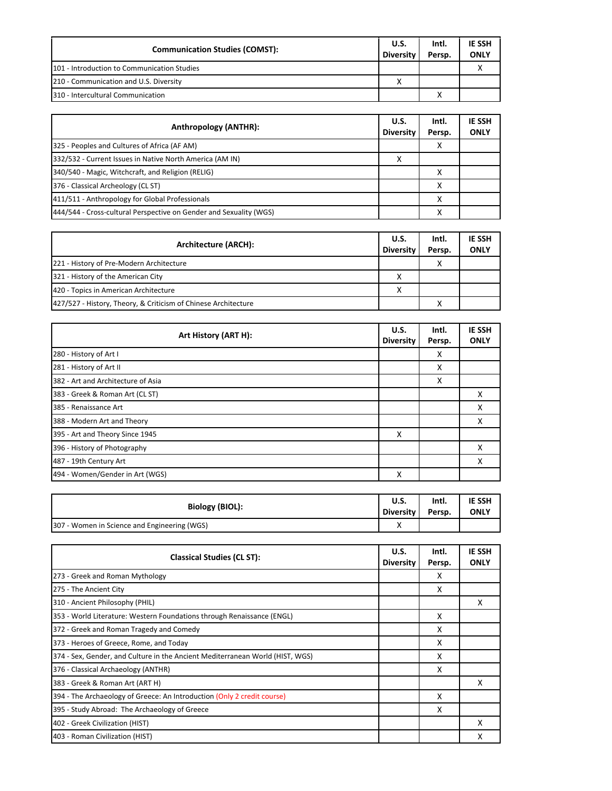| <b>Communication Studies (COMST):</b>       | <b>U.S.</b><br><b>Diversity</b> | Intl.<br>Persp. | <b>IE SSH</b><br><b>ONLY</b> |
|---------------------------------------------|---------------------------------|-----------------|------------------------------|
| 101 - Introduction to Communication Studies |                                 |                 |                              |
| 210 - Communication and U.S. Diversity      |                                 |                 |                              |
| 310 - Intercultural Communication           |                                 |                 |                              |

| Anthropology (ANTHR):                                              | <b>U.S.</b><br><b>Diversity</b> | Intl.<br>Persp. | <b>IE SSH</b><br><b>ONLY</b> |
|--------------------------------------------------------------------|---------------------------------|-----------------|------------------------------|
| 325 - Peoples and Cultures of Africa (AF AM)                       |                                 | χ               |                              |
| 332/532 - Current Issues in Native North America (AM IN)           | χ                               |                 |                              |
| 340/540 - Magic, Witchcraft, and Religion (RELIG)                  |                                 |                 |                              |
| 376 - Classical Archeology (CL ST)                                 |                                 |                 |                              |
| 411/511 - Anthropology for Global Professionals                    |                                 | χ               |                              |
| 444/544 - Cross-cultural Perspective on Gender and Sexuality (WGS) |                                 | v<br>л          |                              |

| Architecture (ARCH):                                           | <b>U.S.</b><br><b>Diversity</b> | Intl.<br>Persp.   | <b>IE SSH</b><br><b>ONLY</b> |
|----------------------------------------------------------------|---------------------------------|-------------------|------------------------------|
| 221 - History of Pre-Modern Architecture                       |                                 | х                 |                              |
| 321 - History of the American City                             |                                 |                   |                              |
| 420 - Topics in American Architecture                          | x                               |                   |                              |
| 427/527 - History, Theory, & Criticism of Chinese Architecture |                                 | $\checkmark$<br>́ |                              |

| Art History (ART H):               | U.S.<br><b>Diversity</b> | Intl.<br>Persp. | <b>IE SSH</b><br><b>ONLY</b> |
|------------------------------------|--------------------------|-----------------|------------------------------|
| 280 - History of Art I             |                          | X               |                              |
| 281 - History of Art II            |                          | X               |                              |
| 382 - Art and Architecture of Asia |                          | X               |                              |
| 383 - Greek & Roman Art (CL ST)    |                          |                 | X                            |
| 385 - Renaissance Art              |                          |                 | X                            |
| 388 - Modern Art and Theory        |                          |                 | x                            |
| 395 - Art and Theory Since 1945    | X                        |                 |                              |
| 396 - History of Photography       |                          |                 | x                            |
| 487 - 19th Century Art             |                          |                 | х                            |
| 494 - Women/Gender in Art (WGS)    | х                        |                 |                              |

| <b>Biology (BIOL):</b>                       | U.S.        | Intl.  | <b>IE SSH</b> |
|----------------------------------------------|-------------|--------|---------------|
|                                              | Diversity I | Persp. | <b>ONLY</b>   |
| 307 - Women in Science and Engineering (WGS) | $\lambda$   |        |               |

| <b>Classical Studies (CL ST):</b>                                             | U.S.<br><b>Diversity</b> | Intl.<br>Persp. | <b>IE SSH</b><br><b>ONLY</b> |
|-------------------------------------------------------------------------------|--------------------------|-----------------|------------------------------|
| 273 - Greek and Roman Mythology                                               |                          | X               |                              |
| 275 - The Ancient City                                                        |                          | X               |                              |
| 310 - Ancient Philosophy (PHIL)                                               |                          |                 | x                            |
| 353 - World Literature: Western Foundations through Renaissance (ENGL)        |                          | X               |                              |
| 372 - Greek and Roman Tragedy and Comedy                                      |                          | X               |                              |
| 373 - Heroes of Greece, Rome, and Today                                       |                          | X               |                              |
| 374 - Sex, Gender, and Culture in the Ancient Mediterranean World (HIST, WGS) |                          | X               |                              |
| 376 - Classical Archaeology (ANTHR)                                           |                          | x               |                              |
| 383 - Greek & Roman Art (ART H)                                               |                          |                 | x                            |
| 394 - The Archaeology of Greece: An Introduction (Only 2 credit course)       |                          | X               |                              |
| 395 - Study Abroad: The Archaeology of Greece                                 |                          | X               |                              |
| 402 - Greek Civilization (HIST)                                               |                          |                 | χ                            |
| 403 - Roman Civilization (HIST)                                               |                          |                 | x                            |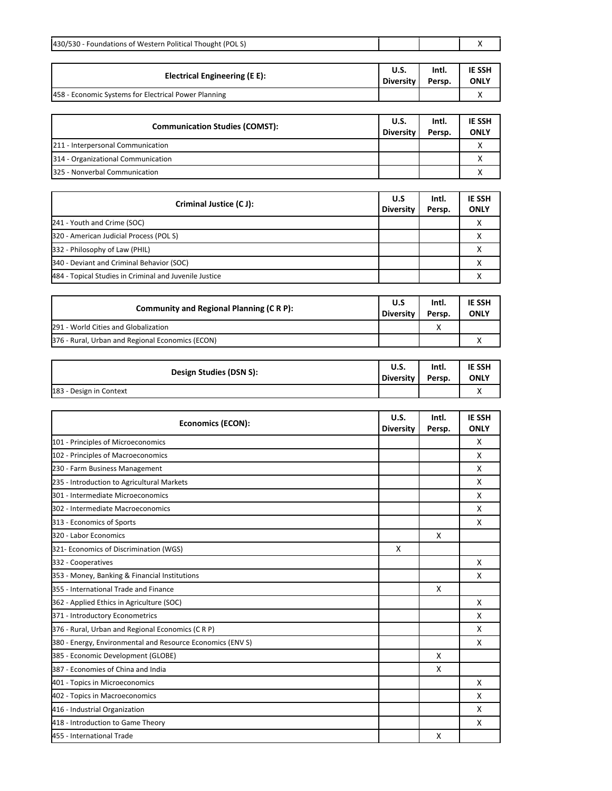| 430/530 - Foundations of Western Political Thought (POLS)  |                         |                 | х                            |
|------------------------------------------------------------|-------------------------|-----------------|------------------------------|
|                                                            | U.S.                    | Intl.           | <b>IE SSH</b>                |
| <b>Electrical Engineering (E E):</b>                       | <b>Diversity</b>        | Persp.          | <b>ONLY</b>                  |
| 458 - Economic Systems for Electrical Power Planning       |                         |                 | X                            |
|                                                            |                         |                 |                              |
| <b>Communication Studies (COMST):</b>                      | <b>U.S.</b>             | Intl.           | IE SSH                       |
|                                                            | <b>Diversity</b>        | Persp.          | <b>ONLY</b>                  |
| 211 - Interpersonal Communication                          |                         |                 | Χ                            |
| 314 - Organizational Communication                         |                         |                 | X                            |
| 325 - Nonverbal Communication                              |                         |                 | X                            |
|                                                            |                         |                 |                              |
| Criminal Justice (C J):                                    | U.S<br><b>Diversity</b> | Intl.<br>Persp. | <b>IE SSH</b><br><b>ONLY</b> |
| 241 - Youth and Crime (SOC)                                |                         |                 | х                            |
| 320 - American Judicial Process (POL S)                    |                         |                 | х                            |
| 332 - Philosophy of Law (PHIL)                             |                         |                 | X                            |
| 340 - Deviant and Criminal Behavior (SOC)                  |                         |                 | х                            |
| 484 - Topical Studies in Criminal and Juvenile Justice     |                         |                 | x                            |
|                                                            |                         |                 |                              |
|                                                            | U.S                     | Intl.           | <b>IE SSH</b>                |
| <b>Community and Regional Planning (C R P):</b>            | <b>Diversity</b>        | Persp.          | <b>ONLY</b>                  |
| 291 - World Cities and Globalization                       |                         | x               |                              |
| 376 - Rural, Urban and Regional Economics (ECON)           |                         |                 | х                            |
|                                                            |                         |                 |                              |
| Design Studies (DSN S):                                    | <b>U.S.</b>             | Intl.           | <b>IE SSH</b>                |
|                                                            | <b>Diversity</b>        | Persp.          | <b>ONLY</b><br>x             |
| 183 - Design in Context                                    |                         |                 |                              |
|                                                            | U.S.                    | Intl.           | <b>IE SSH</b>                |
| <b>Economics (ECON):</b>                                   | <b>Diversity</b>        | Persp.          | <b>ONLY</b>                  |
| 101 - Principles of Microeconomics                         |                         |                 | X                            |
| 102 - Principles of Macroeconomics                         |                         |                 | х                            |
| 230 - Farm Business Management                             |                         |                 | X                            |
| 235 - Introduction to Agricultural Markets                 |                         |                 | X                            |
| 301 - Intermediate Microeconomics                          |                         |                 | х                            |
| 302 - Intermediate Macroeconomics                          |                         |                 | x                            |
| 313 - Economics of Sports                                  |                         |                 | x                            |
| 320 - Labor Economics                                      |                         | x               |                              |
| 321- Economics of Discrimination (WGS)                     | х                       |                 |                              |
| 332 - Cooperatives                                         |                         |                 | x                            |
| 353 - Money, Banking & Financial Institutions              |                         |                 | х                            |
| 355 - International Trade and Finance                      |                         | х               |                              |
| 362 - Applied Ethics in Agriculture (SOC)                  |                         |                 | х                            |
| 371 - Introductory Econometrics                            |                         |                 | x                            |
| 376 - Rural, Urban and Regional Economics (C R P)          |                         |                 | x                            |
| 380 - Energy, Environmental and Resource Economics (ENV S) |                         |                 | x                            |
| 385 - Economic Development (GLOBE)                         |                         | X               |                              |
| 387 - Economies of China and India                         |                         | x               |                              |
| 401 - Topics in Microeconomics                             |                         |                 | x                            |
| 402 - Topics in Macroeconomics                             |                         |                 | x                            |
| 416 - Industrial Organization                              |                         |                 | х                            |
| 418 - Introduction to Game Theory                          |                         |                 | х                            |
| 455 - International Trade                                  |                         | х               |                              |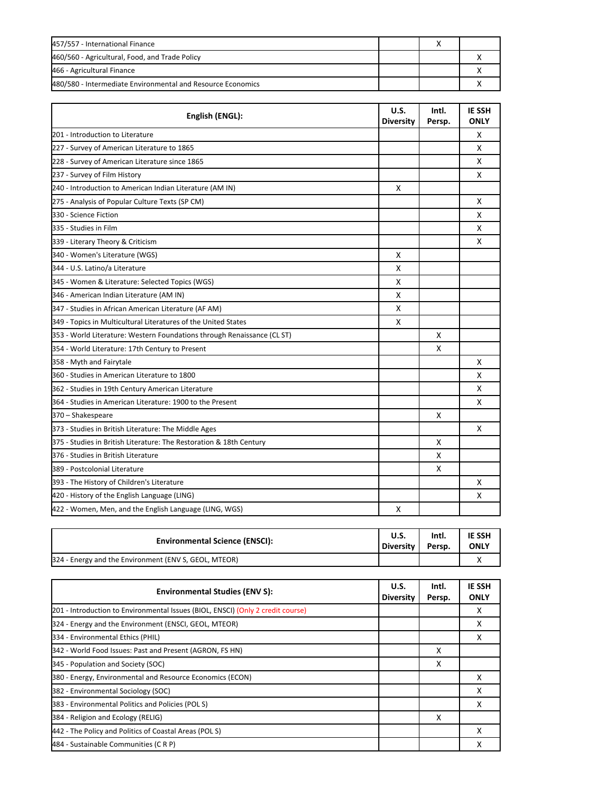| 457/557 - International Finance                             |  |  |
|-------------------------------------------------------------|--|--|
| 460/560 - Agricultural, Food, and Trade Policy              |  |  |
| 466 - Agricultural Finance                                  |  |  |
| 480/580 - Intermediate Environmental and Resource Economics |  |  |

| English (ENGL):                                                         | U.S.<br><b>Diversity</b> | Intl.<br>Persp. | <b>IE SSH</b><br><b>ONLY</b> |
|-------------------------------------------------------------------------|--------------------------|-----------------|------------------------------|
| 201 - Introduction to Literature                                        |                          |                 | X                            |
| 227 - Survey of American Literature to 1865                             |                          |                 | $\mathsf{x}$                 |
| 228 - Survey of American Literature since 1865                          |                          |                 | X                            |
| 237 - Survey of Film History                                            |                          |                 | X                            |
| 240 - Introduction to American Indian Literature (AM IN)                | X                        |                 |                              |
| 275 - Analysis of Popular Culture Texts (SP CM)                         |                          |                 | X                            |
| 330 - Science Fiction                                                   |                          |                 | X                            |
| 335 - Studies in Film                                                   |                          |                 | X                            |
| 339 - Literary Theory & Criticism                                       |                          |                 | X                            |
| 340 - Women's Literature (WGS)                                          | X                        |                 |                              |
| 344 - U.S. Latino/a Literature                                          | X                        |                 |                              |
| 345 - Women & Literature: Selected Topics (WGS)                         | X                        |                 |                              |
| 346 - American Indian Literature (AM IN)                                | X                        |                 |                              |
| 347 - Studies in African American Literature (AF AM)                    | X                        |                 |                              |
| 349 - Topics in Multicultural Literatures of the United States          | X                        |                 |                              |
| 353 - World Literature: Western Foundations through Renaissance (CL ST) |                          | X               |                              |
| 354 - World Literature: 17th Century to Present                         |                          | X               |                              |
| 358 - Myth and Fairytale                                                |                          |                 | X                            |
| 360 - Studies in American Literature to 1800                            |                          |                 | X                            |
| 362 - Studies in 19th Century American Literature                       |                          |                 | X                            |
| 364 - Studies in American Literature: 1900 to the Present               |                          |                 | X                            |
| 370 - Shakespeare                                                       |                          | X               |                              |
| 373 - Studies in British Literature: The Middle Ages                    |                          |                 | X                            |
| 375 - Studies in British Literature: The Restoration & 18th Century     |                          | X               |                              |
| 376 - Studies in British Literature                                     |                          | X               |                              |
| 389 - Postcolonial Literature                                           |                          | X               |                              |
| 393 - The History of Children's Literature                              |                          |                 | X                            |
| 420 - History of the English Language (LING)                            |                          |                 | X                            |
| 422 - Women, Men, and the English Language (LING, WGS)                  | X                        |                 |                              |

| <b>Environmental Science (ENSCI):</b>                 | U.S.             | Intl.  | <b>IE SSH</b> |
|-------------------------------------------------------|------------------|--------|---------------|
|                                                       | <b>Diversity</b> | Persp. | <b>ONLY</b>   |
| 324 - Energy and the Environment (ENV S, GEOL, MTEOR) |                  |        |               |

| <b>Environmental Studies (ENV S):</b>                                           | U.S.<br><b>Diversity</b> | Intl.<br>Persp. | <b>IE SSH</b><br><b>ONLY</b> |
|---------------------------------------------------------------------------------|--------------------------|-----------------|------------------------------|
| 201 - Introduction to Environmental Issues (BIOL, ENSCI) (Only 2 credit course) |                          |                 |                              |
| 324 - Energy and the Environment (ENSCI, GEOL, MTEOR)                           |                          |                 | x                            |
| 334 - Environmental Ethics (PHIL)                                               |                          |                 | х                            |
| 342 - World Food Issues: Past and Present (AGRON, FS HN)                        |                          | x               |                              |
| 345 - Population and Society (SOC)                                              |                          | x               |                              |
| 380 - Energy, Environmental and Resource Economics (ECON)                       |                          |                 | x                            |
| 382 - Environmental Sociology (SOC)                                             |                          |                 | x                            |
| 383 - Environmental Politics and Policies (POLS)                                |                          |                 | x                            |
| 384 - Religion and Ecology (RELIG)                                              |                          | x               |                              |
| 442 - The Policy and Politics of Coastal Areas (POLS)                           |                          |                 | x                            |
| 484 - Sustainable Communities (C R P)                                           |                          |                 |                              |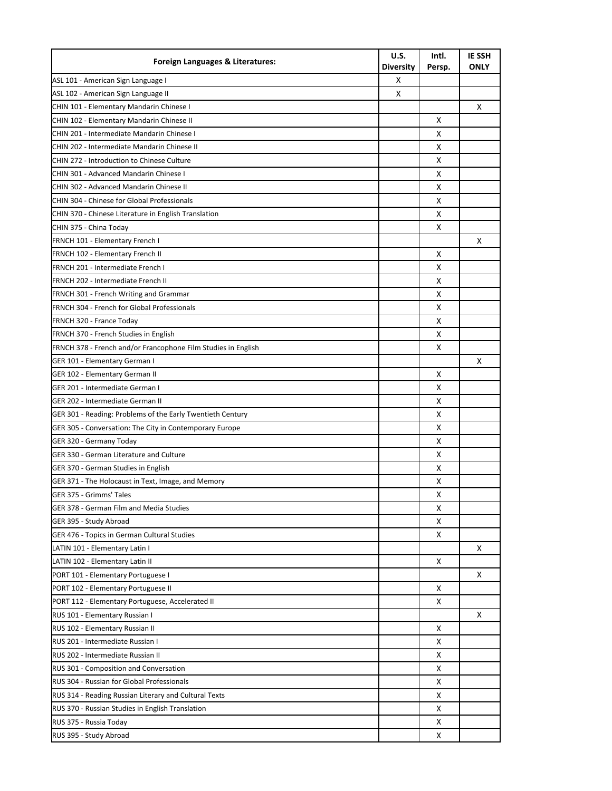| Foreign Languages & Literatures:                                                          | U.S.<br>Diversity | Intl.<br>Persp. | <b>IE SSH</b><br><b>ONLY</b> |
|-------------------------------------------------------------------------------------------|-------------------|-----------------|------------------------------|
| ASL 101 - American Sign Language I                                                        | х                 |                 |                              |
| ASL 102 - American Sign Language II                                                       | X                 |                 |                              |
| CHIN 101 - Elementary Mandarin Chinese I                                                  |                   |                 | х                            |
| CHIN 102 - Elementary Mandarin Chinese II                                                 |                   | х               |                              |
| CHIN 201 - Intermediate Mandarin Chinese I                                                |                   | x               |                              |
| CHIN 202 - Intermediate Mandarin Chinese II                                               |                   | X               |                              |
| CHIN 272 - Introduction to Chinese Culture                                                |                   | х               |                              |
| CHIN 301 - Advanced Mandarin Chinese I                                                    |                   | х               |                              |
| CHIN 302 - Advanced Mandarin Chinese II                                                   |                   | х               |                              |
| CHIN 304 - Chinese for Global Professionals                                               |                   | х               |                              |
| CHIN 370 - Chinese Literature in English Translation                                      |                   | х               |                              |
| CHIN 375 - China Today                                                                    |                   | х               |                              |
| FRNCH 101 - Elementary French I                                                           |                   |                 | X                            |
| FRNCH 102 - Elementary French II                                                          |                   | X               |                              |
| FRNCH 201 - Intermediate French I                                                         |                   | X               |                              |
| FRNCH 202 - Intermediate French II                                                        |                   | х               |                              |
| <b>FRNCH 301 - French Writing and Grammar</b>                                             |                   | х               |                              |
| <b>FRNCH 304 - French for Global Professionals</b>                                        |                   | х               |                              |
| FRNCH 320 - France Today                                                                  |                   | х               |                              |
| FRNCH 370 - French Studies in English                                                     |                   | х               |                              |
| FRNCH 378 - French and/or Francophone Film Studies in English                             |                   | х               |                              |
| GER 101 - Elementary German I                                                             |                   |                 | X                            |
| GER 102 - Elementary German II                                                            |                   | х               |                              |
| GER 201 - Intermediate German I                                                           |                   | X               |                              |
| GER 202 - Intermediate German II                                                          |                   | x               |                              |
|                                                                                           |                   | X               |                              |
| GER 301 - Reading: Problems of the Early Twentieth Century                                |                   | X               |                              |
| GER 305 - Conversation: The City in Contemporary Europe<br>GER 320 - Germany Today        |                   | X               |                              |
| GER 330 - German Literature and Culture                                                   |                   |                 |                              |
|                                                                                           |                   | х<br>х          |                              |
| GER 370 - German Studies in English<br>GER 371 - The Holocaust in Text, Image, and Memory |                   |                 |                              |
| GER 375 - Grimms' Tales                                                                   |                   | х               |                              |
|                                                                                           |                   | х               |                              |
| GER 378 - German Film and Media Studies                                                   |                   | х               |                              |
| GER 395 - Study Abroad                                                                    |                   | х               |                              |
| GER 476 - Topics in German Cultural Studies                                               |                   | X               |                              |
| LATIN 101 - Elementary Latin I                                                            |                   |                 | x                            |
| LATIN 102 - Elementary Latin II                                                           |                   | Χ               |                              |
| PORT 101 - Elementary Portuguese I                                                        |                   |                 | X                            |
| PORT 102 - Elementary Portuguese II                                                       |                   | x               |                              |
| PORT 112 - Elementary Portuguese, Accelerated II                                          |                   | x               |                              |
| RUS 101 - Elementary Russian I                                                            |                   |                 | X                            |
| RUS 102 - Elementary Russian II                                                           |                   | х               |                              |
| RUS 201 - Intermediate Russian I                                                          |                   | х               |                              |
| RUS 202 - Intermediate Russian II                                                         |                   | х               |                              |
| RUS 301 - Composition and Conversation                                                    |                   | х               |                              |
| RUS 304 - Russian for Global Professionals                                                |                   | х               |                              |
| RUS 314 - Reading Russian Literary and Cultural Texts                                     |                   | х               |                              |
| RUS 370 - Russian Studies in English Translation                                          |                   | X               |                              |
| RUS 375 - Russia Today                                                                    |                   | х               |                              |
| RUS 395 - Study Abroad                                                                    |                   | Χ               |                              |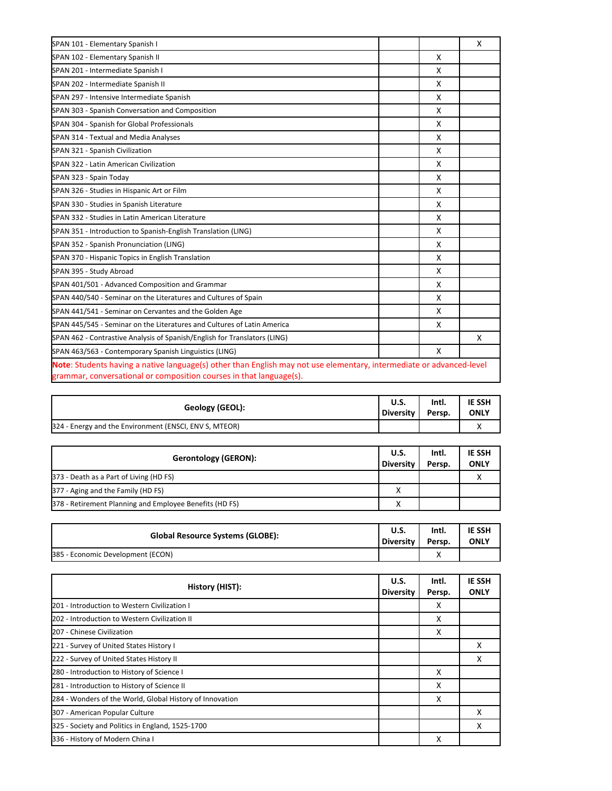| SPAN 101 - Elementary Spanish I                                                                                                                                                             |   | X |
|---------------------------------------------------------------------------------------------------------------------------------------------------------------------------------------------|---|---|
| SPAN 102 - Elementary Spanish II                                                                                                                                                            | X |   |
| SPAN 201 - Intermediate Spanish I                                                                                                                                                           | X |   |
| SPAN 202 - Intermediate Spanish II                                                                                                                                                          | X |   |
| SPAN 297 - Intensive Intermediate Spanish                                                                                                                                                   | X |   |
| SPAN 303 - Spanish Conversation and Composition                                                                                                                                             | X |   |
| SPAN 304 - Spanish for Global Professionals                                                                                                                                                 | X |   |
| SPAN 314 - Textual and Media Analyses                                                                                                                                                       | X |   |
| SPAN 321 - Spanish Civilization                                                                                                                                                             | X |   |
| SPAN 322 - Latin American Civilization                                                                                                                                                      | X |   |
| SPAN 323 - Spain Today                                                                                                                                                                      | X |   |
| SPAN 326 - Studies in Hispanic Art or Film                                                                                                                                                  | X |   |
| SPAN 330 - Studies in Spanish Literature                                                                                                                                                    | X |   |
| SPAN 332 - Studies in Latin American Literature                                                                                                                                             | X |   |
| SPAN 351 - Introduction to Spanish-English Translation (LING)                                                                                                                               | X |   |
| SPAN 352 - Spanish Pronunciation (LING)                                                                                                                                                     | X |   |
| SPAN 370 - Hispanic Topics in English Translation                                                                                                                                           | X |   |
| SPAN 395 - Study Abroad                                                                                                                                                                     | X |   |
| SPAN 401/501 - Advanced Composition and Grammar                                                                                                                                             | X |   |
| SPAN 440/540 - Seminar on the Literatures and Cultures of Spain                                                                                                                             | X |   |
| SPAN 441/541 - Seminar on Cervantes and the Golden Age                                                                                                                                      | X |   |
| SPAN 445/545 - Seminar on the Literatures and Cultures of Latin America                                                                                                                     | X |   |
| SPAN 462 - Contrastive Analysis of Spanish/English for Translators (LING)                                                                                                                   |   | X |
| SPAN 463/563 - Contemporary Spanish Linguistics (LING)                                                                                                                                      | X |   |
| Note: Students having a native language(s) other than English may not use elementary, intermediate or advanced-level<br>grammar, conversational or composition courses in that language(s). |   |   |

| Geology (GEOL):                                        | <b>U.S.</b> | Intl.  | <b>IE SSH</b> |
|--------------------------------------------------------|-------------|--------|---------------|
|                                                        | Diversity I | Persp. | <b>ONLY</b>   |
| 324 - Energy and the Environment (ENSCI, ENV S, MTEOR) |             |        | ◠             |

| <b>Gerontology (GERON):</b>                             | <b>U.S.</b><br><b>Diversity</b> | Intl.<br>Persp. | <b>IE SSH</b><br><b>ONLY</b> |
|---------------------------------------------------------|---------------------------------|-----------------|------------------------------|
| 373 - Death as a Part of Living (HD FS)                 |                                 |                 |                              |
| 377 - Aging and the Family (HD FS)                      | $\checkmark$                    |                 |                              |
| 378 - Retirement Planning and Employee Benefits (HD FS) |                                 |                 |                              |

| <b>Global Resource Systems (GLOBE):</b> | U.S.      | Intl.  | <b>IE SSH</b> |
|-----------------------------------------|-----------|--------|---------------|
|                                         | Diversity | Persp. | <b>ONLY</b>   |
| 385 - Economic Development (ECON)       |           |        |               |

| History (HIST):                                          | U.S.<br><b>Diversity</b> | Intl.<br>Persp. | <b>IE SSH</b><br><b>ONLY</b> |
|----------------------------------------------------------|--------------------------|-----------------|------------------------------|
| 201 - Introduction to Western Civilization I             |                          | X               |                              |
| 202 - Introduction to Western Civilization II            |                          | X               |                              |
| 207 - Chinese Civilization                               |                          | х               |                              |
| 221 - Survey of United States History I                  |                          |                 | x                            |
| 222 - Survey of United States History II                 |                          |                 | x                            |
| 280 - Introduction to History of Science I               |                          | X               |                              |
| 281 - Introduction to History of Science II              |                          | x               |                              |
| 284 - Wonders of the World, Global History of Innovation |                          | X               |                              |
| 307 - American Popular Culture                           |                          |                 | X                            |
| 325 - Society and Politics in England, 1525-1700         |                          |                 | x                            |
| 336 - History of Modern China I                          |                          | х               |                              |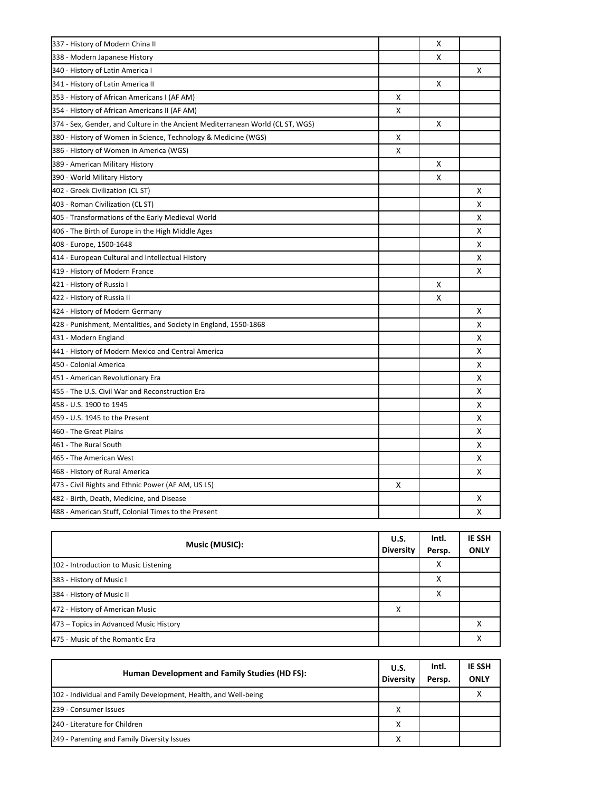| 337 - History of Modern China II                                               |   | х |   |
|--------------------------------------------------------------------------------|---|---|---|
| 338 - Modern Japanese History                                                  |   | х |   |
| 340 - History of Latin America I                                               |   |   | Χ |
| 341 - History of Latin America II                                              |   | х |   |
| 353 - History of African Americans I (AF AM)                                   | х |   |   |
| 354 - History of African Americans II (AF AM)                                  | х |   |   |
| 374 - Sex, Gender, and Culture in the Ancient Mediterranean World (CL ST, WGS) |   | х |   |
| 380 - History of Women in Science, Technology & Medicine (WGS)                 | х |   |   |
| 386 - History of Women in America (WGS)                                        | X |   |   |
| 389 - American Military History                                                |   | х |   |
| 390 - World Military History                                                   |   | X |   |
| 402 - Greek Civilization (CL ST)                                               |   |   | х |
| 403 - Roman Civilization (CL ST)                                               |   |   | X |
| 405 - Transformations of the Early Medieval World                              |   |   | X |
| 406 - The Birth of Europe in the High Middle Ages                              |   |   | X |
| 408 - Europe, 1500-1648                                                        |   |   | X |
| 414 - European Cultural and Intellectual History                               |   |   | X |
| 419 - History of Modern France                                                 |   |   | X |
| 421 - History of Russia I                                                      |   | х |   |
| 422 - History of Russia II                                                     |   | X |   |
| 424 - History of Modern Germany                                                |   |   | x |
| 428 - Punishment, Mentalities, and Society in England, 1550-1868               |   |   | X |
| 431 - Modern England                                                           |   |   | X |
| 441 - History of Modern Mexico and Central America                             |   |   | X |
| 450 - Colonial America                                                         |   |   | x |
| 451 - American Revolutionary Era                                               |   |   | x |
| 455 - The U.S. Civil War and Reconstruction Era                                |   |   | x |
| 458 - U.S. 1900 to 1945                                                        |   |   | X |
| 459 - U.S. 1945 to the Present                                                 |   |   | X |
| 460 - The Great Plains                                                         |   |   | X |
| 461 - The Rural South                                                          |   |   | X |
| 465 - The American West                                                        |   |   | X |
| 468 - History of Rural America                                                 |   |   | X |
| 473 - Civil Rights and Ethnic Power (AF AM, US LS)                             | X |   |   |
| 482 - Birth, Death, Medicine, and Disease                                      |   |   | х |
| 488 - American Stuff, Colonial Times to the Present                            |   |   |   |

| Music (MUSIC):                         | U.S.<br><b>Diversity</b> | Intl.<br>Persp. | <b>IE SSH</b><br><b>ONLY</b> |
|----------------------------------------|--------------------------|-----------------|------------------------------|
| 102 - Introduction to Music Listening  |                          | х               |                              |
| 383 - History of Music I               |                          | x               |                              |
| 384 - History of Music II              |                          | х               |                              |
| 472 - History of American Music        | х                        |                 |                              |
| 473 - Topics in Advanced Music History |                          |                 |                              |
| 475 - Music of the Romantic Era        |                          |                 |                              |

| Human Development and Family Studies (HD FS):                   | U.S.<br><b>Diversity</b> | Intl.<br>Persp. | <b>IE SSH</b><br><b>ONLY</b> |
|-----------------------------------------------------------------|--------------------------|-----------------|------------------------------|
| 102 - Individual and Family Development, Health, and Well-being |                          |                 |                              |
| 239 - Consumer Issues                                           | х                        |                 |                              |
| 240 - Literature for Children                                   | x                        |                 |                              |
| 249 - Parenting and Family Diversity Issues                     | X                        |                 |                              |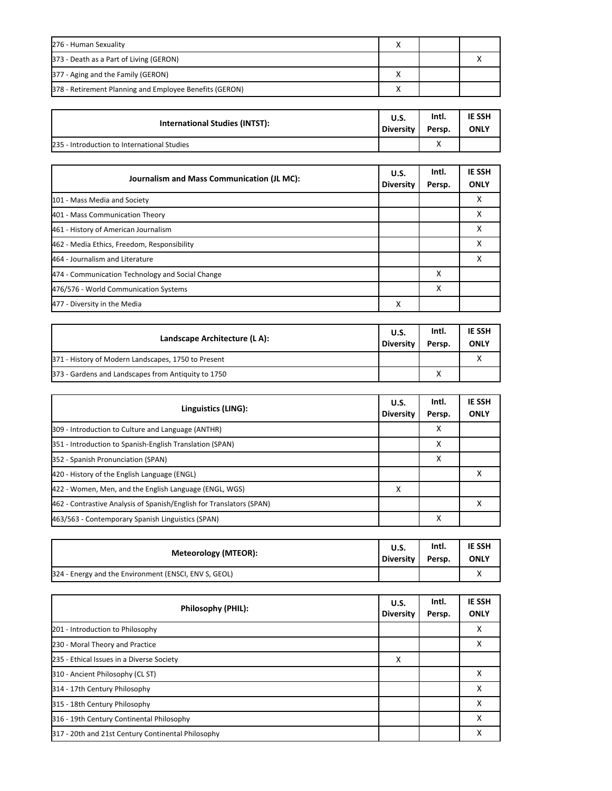| 276 - Human Sexuality                                   |  |  |
|---------------------------------------------------------|--|--|
| 373 - Death as a Part of Living (GERON)                 |  |  |
| 377 - Aging and the Family (GERON)                      |  |  |
| 378 - Retirement Planning and Employee Benefits (GERON) |  |  |

| International Studies (INTST):              | U.S.      | Intl.  | <b>IE SSH</b> |
|---------------------------------------------|-----------|--------|---------------|
|                                             | Diversity | Persp. | <b>ONLY</b>   |
| 235 - Introduction to International Studies |           |        |               |

| Journalism and Mass Communication (JL MC):       | U.S.<br><b>Diversity</b> | Intl.<br>Persp. | <b>IE SSH</b><br><b>ONLY</b> |
|--------------------------------------------------|--------------------------|-----------------|------------------------------|
| 101 - Mass Media and Society                     |                          |                 | х                            |
| 401 - Mass Communication Theory                  |                          |                 | х                            |
| 461 - History of American Journalism             |                          |                 | х                            |
| 462 - Media Ethics, Freedom, Responsibility      |                          |                 |                              |
| 464 - Journalism and Literature                  |                          |                 |                              |
| 474 - Communication Technology and Social Change |                          | X               |                              |
| 476/576 - World Communication Systems            |                          | х               |                              |
| 477 - Diversity in the Media                     | х                        |                 |                              |

| Landscape Architecture (LA):                        | <b>U.S.</b><br><b>Diversity</b> | Intl.<br>Persp. | <b>IE SSH</b><br><b>ONLY</b> |
|-----------------------------------------------------|---------------------------------|-----------------|------------------------------|
| 371 - History of Modern Landscapes, 1750 to Present |                                 |                 |                              |
| 373 - Gardens and Landscapes from Antiquity to 1750 |                                 |                 |                              |

| Linguistics (LING):                                                  | U.S.<br><b>Diversity</b> | Intl.<br>Persp. | <b>IE SSH</b><br><b>ONLY</b> |
|----------------------------------------------------------------------|--------------------------|-----------------|------------------------------|
| 309 - Introduction to Culture and Language (ANTHR)                   |                          | x               |                              |
| 351 - Introduction to Spanish-English Translation (SPAN)             |                          | x               |                              |
| 352 - Spanish Pronunciation (SPAN)                                   |                          | х               |                              |
| 420 - History of the English Language (ENGL)                         |                          |                 |                              |
| 422 - Women, Men, and the English Language (ENGL, WGS)               | X                        |                 |                              |
| 462 - Contrastive Analysis of Spanish/English for Translators (SPAN) |                          |                 |                              |
| 463/563 - Contemporary Spanish Linguistics (SPAN)                    |                          | x               |                              |

| Meteorology (MTEOR):                                  | U.S.        | Intl.  | <b>IE SSH</b> |
|-------------------------------------------------------|-------------|--------|---------------|
|                                                       | Diversity I | Persp. | <b>ONLY</b>   |
| 324 - Energy and the Environment (ENSCI, ENV S, GEOL) |             |        |               |

| Philosophy (PHIL):                                 | U.S.<br><b>Diversity</b> | Intl.<br>Persp. | <b>IE SSH</b><br><b>ONLY</b> |
|----------------------------------------------------|--------------------------|-----------------|------------------------------|
| 201 - Introduction to Philosophy                   |                          |                 | х                            |
| 230 - Moral Theory and Practice                    |                          |                 | Χ                            |
| 235 - Ethical Issues in a Diverse Society          | X                        |                 |                              |
| 310 - Ancient Philosophy (CL ST)                   |                          |                 | Χ                            |
| 314 - 17th Century Philosophy                      |                          |                 | x                            |
| 315 - 18th Century Philosophy                      |                          |                 | Χ                            |
| 316 - 19th Century Continental Philosophy          |                          |                 | Χ                            |
| 317 - 20th and 21st Century Continental Philosophy |                          |                 | Χ                            |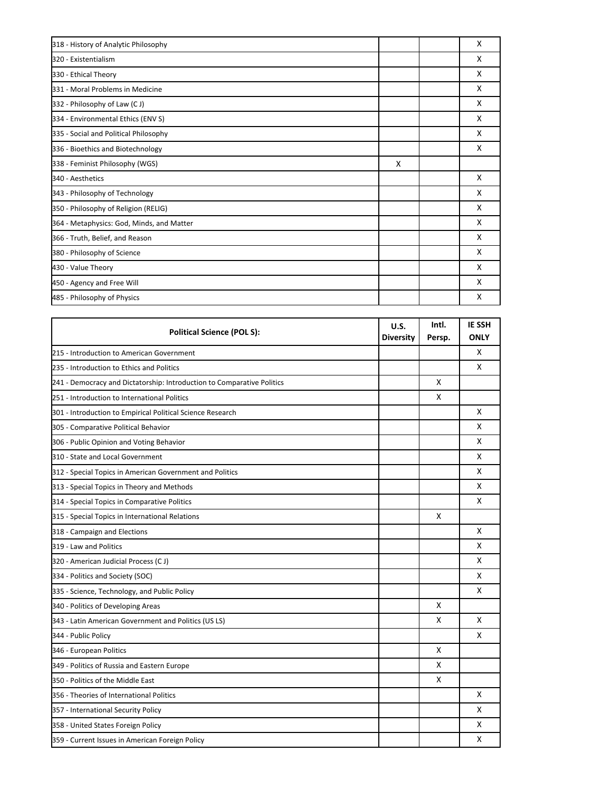| 318 - History of Analytic Philosophy      |   | X |
|-------------------------------------------|---|---|
| 320 - Existentialism                      |   | X |
| 330 - Ethical Theory                      |   | X |
| 331 - Moral Problems in Medicine          |   | X |
| 332 - Philosophy of Law (CJ)              |   | X |
| 334 - Environmental Ethics (ENV S)        |   | X |
| 335 - Social and Political Philosophy     |   | X |
| 336 - Bioethics and Biotechnology         |   | X |
| 338 - Feminist Philosophy (WGS)           | X |   |
| 340 - Aesthetics                          |   | X |
| 343 - Philosophy of Technology            |   | x |
| 350 - Philosophy of Religion (RELIG)      |   | X |
| 364 - Metaphysics: God, Minds, and Matter |   | X |
| 366 - Truth, Belief, and Reason           |   | X |
| 380 - Philosophy of Science               |   | X |
| 430 - Value Theory                        |   | X |
| 450 - Agency and Free Will                |   | X |
| 485 - Philosophy of Physics               |   | X |

| <b>Political Science (POL S):</b>                                      | U.S.<br><b>Diversity</b> | Intl.<br>Persp. | <b>IE SSH</b><br><b>ONLY</b> |
|------------------------------------------------------------------------|--------------------------|-----------------|------------------------------|
| 215 - Introduction to American Government                              |                          |                 | X                            |
| 235 - Introduction to Ethics and Politics                              |                          |                 | X                            |
| 241 - Democracy and Dictatorship: Introduction to Comparative Politics |                          | X               |                              |
| 251 - Introduction to International Politics                           |                          | x               |                              |
| 301 - Introduction to Empirical Political Science Research             |                          |                 | x                            |
| 305 - Comparative Political Behavior                                   |                          |                 | X                            |
| 306 - Public Opinion and Voting Behavior                               |                          |                 | X                            |
| 310 - State and Local Government                                       |                          |                 | X                            |
| 312 - Special Topics in American Government and Politics               |                          |                 | X                            |
| 313 - Special Topics in Theory and Methods                             |                          |                 | X                            |
| 314 - Special Topics in Comparative Politics                           |                          |                 | x                            |
| 315 - Special Topics in International Relations                        |                          | X               |                              |
| 318 - Campaign and Elections                                           |                          |                 | X                            |
| 319 - Law and Politics                                                 |                          |                 | x                            |
| 320 - American Judicial Process (CJ)                                   |                          |                 | X                            |
| 334 - Politics and Society (SOC)                                       |                          |                 | X                            |
| 335 - Science, Technology, and Public Policy                           |                          |                 | X                            |
| 340 - Politics of Developing Areas                                     |                          | x               |                              |
| 343 - Latin American Government and Politics (US LS)                   |                          | X               | X                            |
| 344 - Public Policy                                                    |                          |                 | X                            |
| 346 - European Politics                                                |                          | X               |                              |
| 349 - Politics of Russia and Eastern Europe                            |                          | X               |                              |
| 350 - Politics of the Middle East                                      |                          | x               |                              |
| 356 - Theories of International Politics                               |                          |                 | X                            |
| 357 - International Security Policy                                    |                          |                 | x                            |
| 358 - United States Foreign Policy                                     |                          |                 | X                            |
| 359 - Current Issues in American Foreign Policy                        |                          |                 | x                            |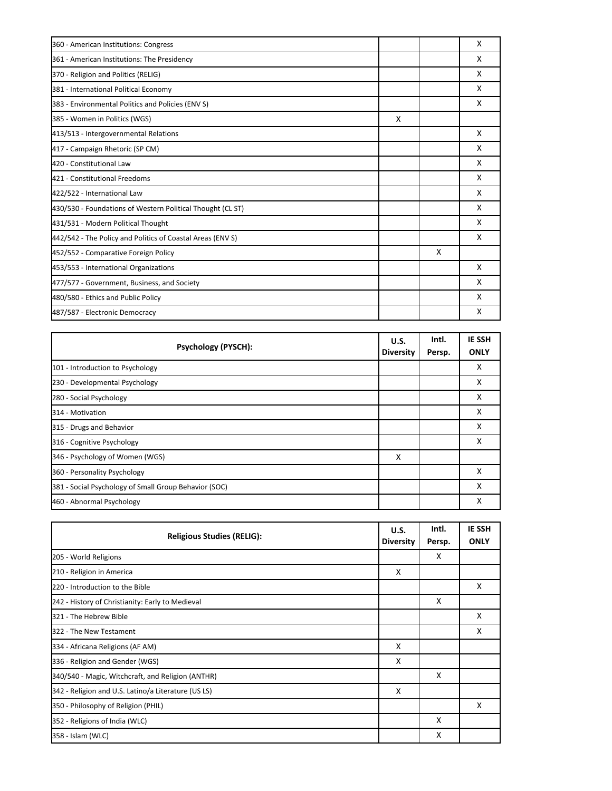| 360 - American Institutions: Congress                      |   |                           | X |
|------------------------------------------------------------|---|---------------------------|---|
| 361 - American Institutions: The Presidency                |   |                           | X |
| 370 - Religion and Politics (RELIG)                        |   |                           | X |
| 381 - International Political Economy                      |   |                           | X |
| 383 - Environmental Politics and Policies (ENV S)          |   |                           | X |
| 385 - Women in Politics (WGS)                              | X |                           |   |
| 413/513 - Intergovernmental Relations                      |   |                           | X |
| 417 - Campaign Rhetoric (SP CM)                            |   |                           | X |
| 420 - Constitutional Law                                   |   |                           | X |
| 421 - Constitutional Freedoms                              |   |                           | X |
| 422/522 - International Law                                |   |                           | X |
| 430/530 - Foundations of Western Political Thought (CL ST) |   |                           | X |
| 431/531 - Modern Political Thought                         |   |                           | X |
| 442/542 - The Policy and Politics of Coastal Areas (ENV S) |   |                           | X |
| 452/552 - Comparative Foreign Policy                       |   | $\boldsymbol{\mathsf{x}}$ |   |
| 453/553 - International Organizations                      |   |                           | X |
| 477/577 - Government, Business, and Society                |   |                           | X |
| 480/580 - Ethics and Public Policy                         |   |                           | X |
| 487/587 - Electronic Democracy                             |   |                           | X |

| <b>Psychology (PYSCH):</b>                            | U.S.<br><b>Diversity</b> | Intl.<br>Persp. | <b>IE SSH</b><br><b>ONLY</b> |
|-------------------------------------------------------|--------------------------|-----------------|------------------------------|
| 101 - Introduction to Psychology                      |                          |                 | X                            |
| 230 - Developmental Psychology                        |                          |                 | X                            |
| 280 - Social Psychology                               |                          |                 | x                            |
| 314 - Motivation                                      |                          |                 | x                            |
| 315 - Drugs and Behavior                              |                          |                 | X                            |
| 316 - Cognitive Psychology                            |                          |                 | x                            |
| 346 - Psychology of Women (WGS)                       | X                        |                 |                              |
| 360 - Personality Psychology                          |                          |                 | X                            |
| 381 - Social Psychology of Small Group Behavior (SOC) |                          |                 | X                            |
| 460 - Abnormal Psychology                             |                          |                 | X                            |

| <b>Religious Studies (RELIG):</b>                   | U.S.<br><b>Diversity</b> | Intl.<br>Persp. | <b>IE SSH</b><br><b>ONLY</b> |
|-----------------------------------------------------|--------------------------|-----------------|------------------------------|
| 205 - World Religions                               |                          | X               |                              |
| 210 - Religion in America                           | X                        |                 |                              |
| 220 - Introduction to the Bible                     |                          |                 | X                            |
| 242 - History of Christianity: Early to Medieval    |                          | X               |                              |
| 321 - The Hebrew Bible                              |                          |                 | X                            |
| 322 - The New Testament                             |                          |                 | X                            |
| 334 - Africana Religions (AF AM)                    | X                        |                 |                              |
| 336 - Religion and Gender (WGS)                     | X                        |                 |                              |
| 340/540 - Magic, Witchcraft, and Religion (ANTHR)   |                          | X               |                              |
| 342 - Religion and U.S. Latino/a Literature (US LS) | X                        |                 |                              |
| 350 - Philosophy of Religion (PHIL)                 |                          |                 | X                            |
| 352 - Religions of India (WLC)                      |                          | X               |                              |
| 358 - Islam (WLC)                                   |                          | X               |                              |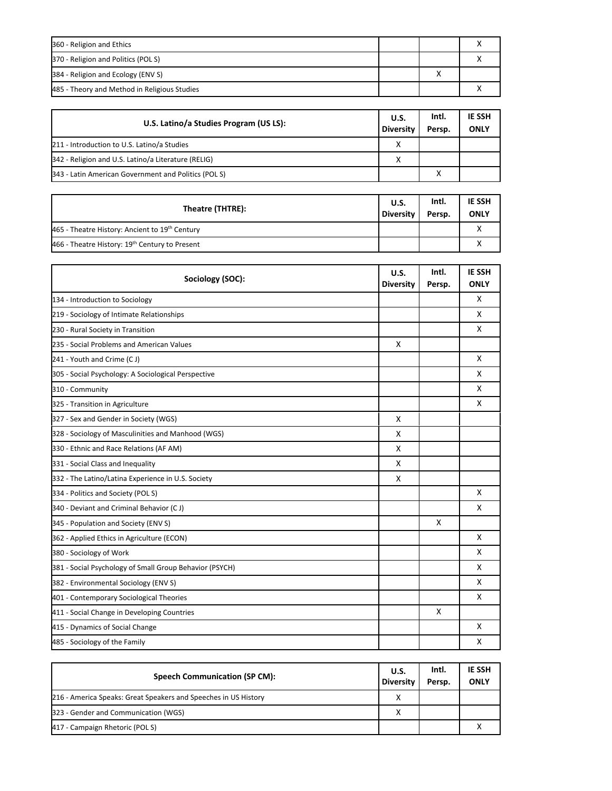| 360 - Religion and Ethics                    |  |  |
|----------------------------------------------|--|--|
| 370 - Religion and Politics (POLS)           |  |  |
| 384 - Religion and Ecology (ENV S)           |  |  |
| 485 - Theory and Method in Religious Studies |  |  |

| U.S. Latino/a Studies Program (US LS):              | U.S.<br><b>Diversity</b> | Intl.<br>Persp. | <b>IE SSH</b><br><b>ONLY</b> |
|-----------------------------------------------------|--------------------------|-----------------|------------------------------|
| 211 - Introduction to U.S. Latino/a Studies         | X                        |                 |                              |
| 342 - Religion and U.S. Latino/a Literature (RELIG) | х                        |                 |                              |
| 343 - Latin American Government and Politics (POLS) |                          | $\checkmark$    |                              |

| Theatre (THTRE):                                           | <b>U.S.</b><br><b>Diversity</b> | Intl.<br>Persp. | <b>IE SSH</b><br><b>ONLY</b> |
|------------------------------------------------------------|---------------------------------|-----------------|------------------------------|
| 465 - Theatre History: Ancient to 19 <sup>th</sup> Century |                                 |                 |                              |
| 466 - Theatre History: 19 <sup>th</sup> Century to Present |                                 |                 |                              |

| Sociology (SOC):                                        | U.S.<br><b>Diversity</b> | Intl.<br>Persp. | IE SSH<br><b>ONLY</b> |
|---------------------------------------------------------|--------------------------|-----------------|-----------------------|
| 134 - Introduction to Sociology                         |                          |                 | X                     |
| 219 - Sociology of Intimate Relationships               |                          |                 | X                     |
| 230 - Rural Society in Transition                       |                          |                 | X                     |
| 235 - Social Problems and American Values               | X                        |                 |                       |
| 241 - Youth and Crime (CJ)                              |                          |                 | X                     |
| 305 - Social Psychology: A Sociological Perspective     |                          |                 | X                     |
| 310 - Community                                         |                          |                 | X                     |
| 325 - Transition in Agriculture                         |                          |                 | X                     |
| 327 - Sex and Gender in Society (WGS)                   | X                        |                 |                       |
| 328 - Sociology of Masculinities and Manhood (WGS)      | X                        |                 |                       |
| 330 - Ethnic and Race Relations (AF AM)                 | X                        |                 |                       |
| 331 - Social Class and Inequality                       | X                        |                 |                       |
| 332 - The Latino/Latina Experience in U.S. Society      | X                        |                 |                       |
| 334 - Politics and Society (POL S)                      |                          |                 | X                     |
| 340 - Deviant and Criminal Behavior (CJ)                |                          |                 | x                     |
| 345 - Population and Society (ENV S)                    |                          | X               |                       |
| 362 - Applied Ethics in Agriculture (ECON)              |                          |                 | X                     |
| 380 - Sociology of Work                                 |                          |                 | X                     |
| 381 - Social Psychology of Small Group Behavior (PSYCH) |                          |                 | X                     |
| 382 - Environmental Sociology (ENV S)                   |                          |                 | X                     |
| 401 - Contemporary Sociological Theories                |                          |                 | X                     |
| 411 - Social Change in Developing Countries             |                          | X               |                       |
| 415 - Dynamics of Social Change                         |                          |                 | X                     |
| 485 - Sociology of the Family                           |                          |                 | X                     |

| <b>Speech Communication (SP CM):</b>                            | <b>U.S.</b><br><b>Diversity</b> | Intl.<br>Persp. | <b>IE SSH</b><br><b>ONLY</b> |
|-----------------------------------------------------------------|---------------------------------|-----------------|------------------------------|
| 216 - America Speaks: Great Speakers and Speeches in US History | v                               |                 |                              |
| 323 - Gender and Communication (WGS)                            |                                 |                 |                              |
| 417 - Campaign Rhetoric (POLS)                                  |                                 |                 |                              |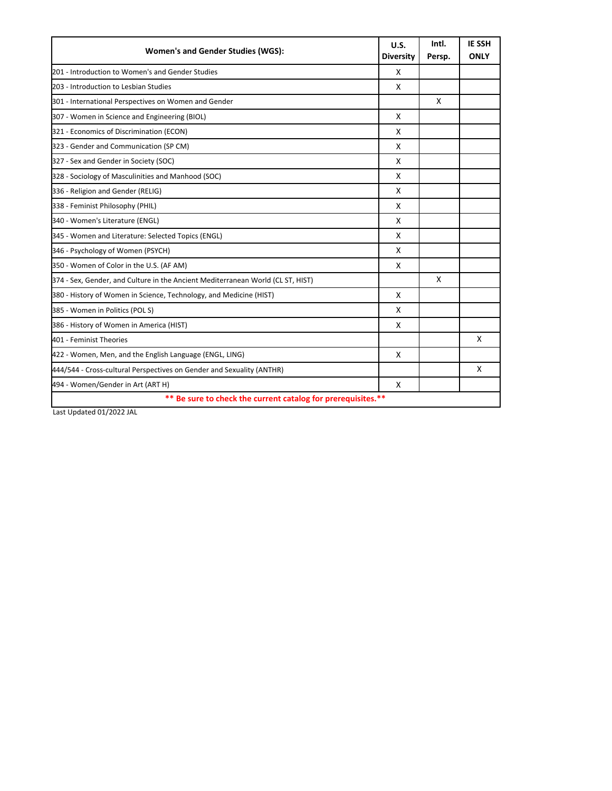| Women's and Gender Studies (WGS):                                               | U.S.<br><b>Diversity</b> | Intl.<br>Persp. | <b>IE SSH</b><br><b>ONLY</b> |
|---------------------------------------------------------------------------------|--------------------------|-----------------|------------------------------|
| 201 - Introduction to Women's and Gender Studies                                | X                        |                 |                              |
| 203 - Introduction to Lesbian Studies                                           | X                        |                 |                              |
| 301 - International Perspectives on Women and Gender                            |                          | X               |                              |
| 307 - Women in Science and Engineering (BIOL)                                   | X                        |                 |                              |
| 321 - Economics of Discrimination (ECON)                                        | X                        |                 |                              |
| 323 - Gender and Communication (SP CM)                                          | X                        |                 |                              |
| 327 - Sex and Gender in Society (SOC)                                           | X                        |                 |                              |
| 328 - Sociology of Masculinities and Manhood (SOC)                              | X                        |                 |                              |
| 336 - Religion and Gender (RELIG)                                               | X                        |                 |                              |
| 338 - Feminist Philosophy (PHIL)                                                | X                        |                 |                              |
| 340 - Women's Literature (ENGL)                                                 | X                        |                 |                              |
| 345 - Women and Literature: Selected Topics (ENGL)                              | X                        |                 |                              |
| 346 - Psychology of Women (PSYCH)                                               | X                        |                 |                              |
| 350 - Women of Color in the U.S. (AF AM)                                        | X                        |                 |                              |
| 374 - Sex, Gender, and Culture in the Ancient Mediterranean World (CL ST, HIST) |                          | X               |                              |
| 380 - History of Women in Science, Technology, and Medicine (HIST)              | X                        |                 |                              |
| 385 - Women in Politics (POL S)                                                 | X                        |                 |                              |
| 386 - History of Women in America (HIST)                                        | X                        |                 |                              |
| 401 - Feminist Theories                                                         |                          |                 | X                            |
| 422 - Women, Men, and the English Language (ENGL, LING)                         | X                        |                 |                              |
| 444/544 - Cross-cultural Perspectives on Gender and Sexuality (ANTHR)           |                          |                 | X                            |
| 494 - Women/Gender in Art (ART H)                                               | X                        |                 |                              |
| ** Be sure to check the current catalog for prerequisites.**                    |                          |                 |                              |

Last Updated 01/2022 JAL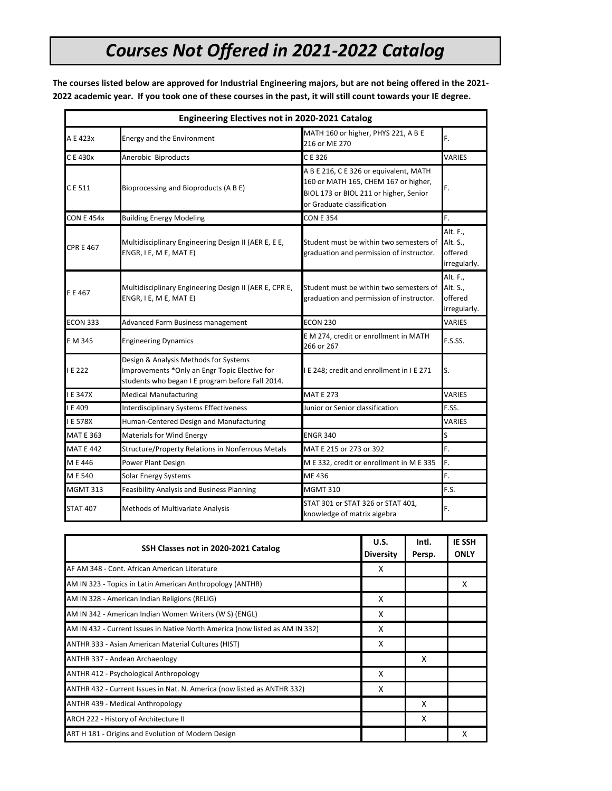# *Courses Not Offered in 2021-2022 Catalog*

**The courses listed below are approved for Industrial Engineering majors, but are not being offered in the 2021- 2022 academic year. If you took one of these courses in the past, it will still count towards your IE degree.**

|                   | <b>Engineering Electives not in 2020-2021 Catalog</b>                                                                                      |                                                                                                                                                        |                                                 |
|-------------------|--------------------------------------------------------------------------------------------------------------------------------------------|--------------------------------------------------------------------------------------------------------------------------------------------------------|-------------------------------------------------|
| A E 423x          | Energy and the Environment                                                                                                                 | MATH 160 or higher, PHYS 221, A B E<br>216 or ME 270                                                                                                   | F.                                              |
| C E 430x          | Anerobic Biproducts                                                                                                                        | CE 326                                                                                                                                                 | <b>VARIES</b>                                   |
| C E 511           | Bioprocessing and Bioproducts (A B E)                                                                                                      | A B E 216, C E 326 or equivalent, MATH<br>160 or MATH 165, CHEM 167 or higher,<br>BIOL 173 or BIOL 211 or higher, Senior<br>or Graduate classification | F.                                              |
| <b>CON E 454x</b> | <b>Building Energy Modeling</b>                                                                                                            | <b>CON E 354</b>                                                                                                                                       | F.                                              |
| <b>CPR E 467</b>  | Multidisciplinary Engineering Design II (AER E, E E,<br>ENGR, I E, M E, MAT E)                                                             | Student must be within two semesters of<br>graduation and permission of instructor.                                                                    | Alt. F.,<br>Alt. S.,<br>offered<br>irregularly. |
| E E 467           | Multidisciplinary Engineering Design II (AER E, CPR E,<br>ENGR, I E, M E, MAT E)                                                           | Student must be within two semesters of<br>graduation and permission of instructor.                                                                    | Alt. F.,<br>Alt. S.,<br>offered<br>irregularly. |
| <b>ECON 333</b>   | Advanced Farm Business management                                                                                                          | <b>ECON 230</b>                                                                                                                                        | VARIES                                          |
| E M 345           | <b>Engineering Dynamics</b>                                                                                                                | E M 274, credit or enrollment in MATH<br>266 or 267                                                                                                    | F.S.SS.                                         |
| IE 222            | Design & Analysis Methods for Systems<br>Improvements *Only an Engr Topic Elective for<br>students who began I E program before Fall 2014. | I E 248; credit and enrollment in I E 271                                                                                                              | ls.                                             |
| E 347X            | <b>Medical Manufacturing</b>                                                                                                               | <b>MAT E 273</b>                                                                                                                                       | <b>VARIES</b>                                   |
| I E 409           | <b>Interdisciplinary Systems Effectiveness</b>                                                                                             | Junior or Senior classification                                                                                                                        | F.SS.                                           |
| <b>IE 578X</b>    | Human-Centered Design and Manufacturing                                                                                                    |                                                                                                                                                        | VARIES                                          |
| <b>MAT E 363</b>  | <b>Materials for Wind Energy</b>                                                                                                           | <b>ENGR 340</b>                                                                                                                                        | S                                               |
| <b>MAT E 442</b>  | Structure/Property Relations in Nonferrous Metals                                                                                          | MAT E 215 or 273 or 392                                                                                                                                | F.                                              |
| M E 446           | Power Plant Design                                                                                                                         | M E 332, credit or enrollment in M E 335                                                                                                               | F.                                              |
| M E 540           | <b>Solar Energy Systems</b>                                                                                                                | ME 436                                                                                                                                                 | F.                                              |
| <b>MGMT 313</b>   | <b>Feasibility Analysis and Business Planning</b>                                                                                          | <b>MGMT 310</b>                                                                                                                                        | F.S.                                            |
| <b>STAT 407</b>   | Methods of Multivariate Analysis                                                                                                           | STAT 301 or STAT 326 or STAT 401,<br>knowledge of matrix algebra                                                                                       | F.                                              |

| SSH Classes not in 2020-2021 Catalog                                         | U.S.<br><b>Diversity</b> | Intl.<br>Persp. | <b>IE SSH</b><br><b>ONLY</b> |
|------------------------------------------------------------------------------|--------------------------|-----------------|------------------------------|
| AF AM 348 - Cont. African American Literature                                | x                        |                 |                              |
| AM IN 323 - Topics in Latin American Anthropology (ANTHR)                    |                          |                 | x                            |
| AM IN 328 - American Indian Religions (RELIG)                                | X                        |                 |                              |
| AM IN 342 - American Indian Women Writers (W S) (ENGL)                       | x                        |                 |                              |
| AM IN 432 - Current Issues in Native North America (now listed as AM IN 332) | x                        |                 |                              |
| ANTHR 333 - Asian American Material Cultures (HIST)                          | X                        |                 |                              |
| ANTHR 337 - Andean Archaeology                                               |                          | x               |                              |
| ANTHR 412 - Psychological Anthropology                                       | X                        |                 |                              |
| ANTHR 432 - Current Issues in Nat. N. America (now listed as ANTHR 332)      | x                        |                 |                              |
| ANTHR 439 - Medical Anthropology                                             |                          | x               |                              |
| ARCH 222 - History of Architecture II                                        |                          | x               |                              |
| ART H 181 - Origins and Evolution of Modern Design                           |                          |                 | х                            |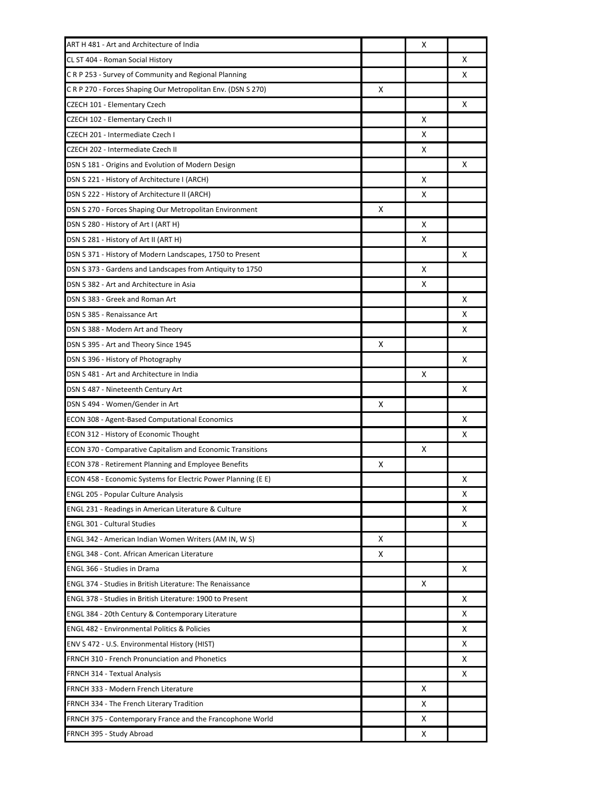| ART H 481 - Art and Architecture of India                         |   | х |   |
|-------------------------------------------------------------------|---|---|---|
| CL ST 404 - Roman Social History                                  |   |   | x |
| C R P 253 - Survey of Community and Regional Planning             |   |   | x |
| CRP 270 - Forces Shaping Our Metropolitan Env. (DSN S 270)        | x |   |   |
| CZECH 101 - Elementary Czech                                      |   |   | x |
| CZECH 102 - Elementary Czech II                                   |   | X |   |
| CZECH 201 - Intermediate Czech I                                  |   | х |   |
| CZECH 202 - Intermediate Czech II                                 |   | X |   |
| DSN S 181 - Origins and Evolution of Modern Design                |   |   | x |
| DSN S 221 - History of Architecture I (ARCH)                      |   | X |   |
| DSN S 222 - History of Architecture II (ARCH)                     |   | х |   |
| DSN S 270 - Forces Shaping Our Metropolitan Environment           | X |   |   |
| DSN S 280 - History of Art I (ART H)                              |   | X |   |
| DSN S 281 - History of Art II (ART H)                             |   | X |   |
| DSN S 371 - History of Modern Landscapes, 1750 to Present         |   |   | X |
| DSN S 373 - Gardens and Landscapes from Antiquity to 1750         |   | X |   |
| DSN S 382 - Art and Architecture in Asia                          |   | х |   |
| DSN S 383 - Greek and Roman Art                                   |   |   | x |
| DSN S 385 - Renaissance Art                                       |   |   | x |
| DSN S 388 - Modern Art and Theory                                 |   |   | x |
| DSN S 395 - Art and Theory Since 1945                             | x |   |   |
| DSN S 396 - History of Photography                                |   |   | x |
| DSN S 481 - Art and Architecture in India                         |   | х |   |
| DSN S 487 - Nineteenth Century Art                                |   |   | x |
| DSN S 494 - Women/Gender in Art                                   | x |   |   |
| <b>ECON 308 - Agent-Based Computational Economics</b>             |   |   | x |
| ECON 312 - History of Economic Thought                            |   |   | х |
| <b>ECON 370 - Comparative Capitalism and Economic Transitions</b> |   | X |   |
| ECON 378 - Retirement Planning and Employee Benefits              | х |   |   |
| ECON 458 - Economic Systems for Electric Power Planning (E E)     |   |   | x |
| <b>ENGL 205 - Popular Culture Analysis</b>                        |   |   | х |
| <b>ENGL 231 - Readings in American Literature &amp; Culture</b>   |   |   | x |
| <b>ENGL 301 - Cultural Studies</b>                                |   |   | x |
| ENGL 342 - American Indian Women Writers (AM IN, W S)             | x |   |   |
| <b>ENGL 348 - Cont. African American Literature</b>               | x |   |   |
| ENGL 366 - Studies in Drama                                       |   |   | x |
| <b>ENGL 374 - Studies in British Literature: The Renaissance</b>  |   | х |   |
| ENGL 378 - Studies in British Literature: 1900 to Present         |   |   | x |
| <b>ENGL 384 - 20th Century &amp; Contemporary Literature</b>      |   |   | х |
| <b>ENGL 482 - Environmental Politics &amp; Policies</b>           |   |   | x |
| ENV S 472 - U.S. Environmental History (HIST)                     |   |   | х |
| FRNCH 310 - French Pronunciation and Phonetics                    |   |   | x |
| <b>FRNCH 314 - Textual Analysis</b>                               |   |   | х |
| FRNCH 333 - Modern French Literature                              |   | X |   |
| FRNCH 334 - The French Literary Tradition                         |   | х |   |
| FRNCH 375 - Contemporary France and the Francophone World         |   | х |   |
| FRNCH 395 - Study Abroad                                          |   | х |   |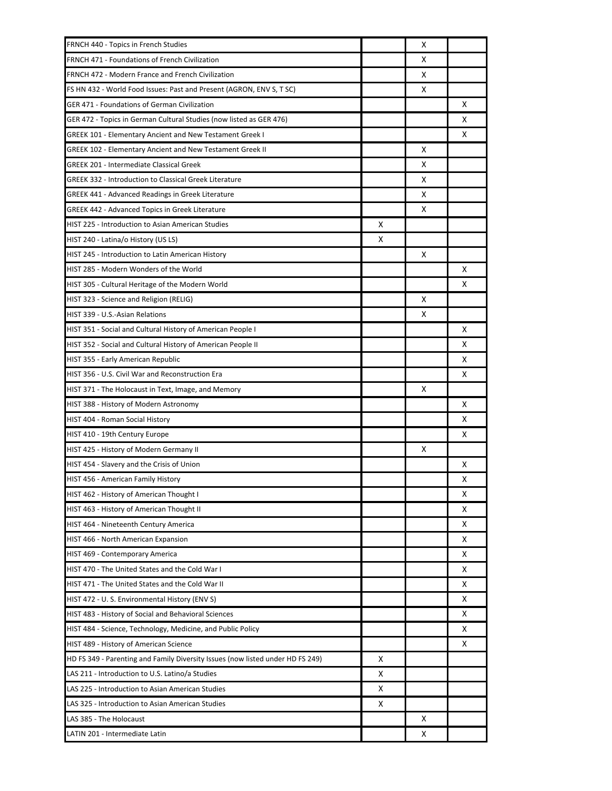| FRNCH 440 - Topics in French Studies                                           |   | x |   |
|--------------------------------------------------------------------------------|---|---|---|
| FRNCH 471 - Foundations of French Civilization                                 |   | x |   |
| FRNCH 472 - Modern France and French Civilization                              |   | х |   |
| FS HN 432 - World Food Issues: Past and Present (AGRON, ENV S, T SC)           |   | X |   |
| GER 471 - Foundations of German Civilization                                   |   |   | X |
| GER 472 - Topics in German Cultural Studies (now listed as GER 476)            |   |   | х |
| GREEK 101 - Elementary Ancient and New Testament Greek I                       |   |   | х |
| GREEK 102 - Elementary Ancient and New Testament Greek II                      |   | X |   |
| <b>GREEK 201 - Intermediate Classical Greek</b>                                |   | х |   |
| <b>GREEK 332 - Introduction to Classical Greek Literature</b>                  |   | х |   |
| GREEK 441 - Advanced Readings in Greek Literature                              |   | х |   |
| GREEK 442 - Advanced Topics in Greek Literature                                |   | x |   |
| <b>HIST 225 - Introduction to Asian American Studies</b>                       | x |   |   |
| HIST 240 - Latina/o History (US LS)                                            | x |   |   |
| HIST 245 - Introduction to Latin American History                              |   | x |   |
| HIST 285 - Modern Wonders of the World                                         |   |   | x |
| HIST 305 - Cultural Heritage of the Modern World                               |   |   | x |
| HIST 323 - Science and Religion (RELIG)                                        |   | x |   |
| HIST 339 - U.S.-Asian Relations                                                |   | х |   |
| HIST 351 - Social and Cultural History of American People I                    |   |   | x |
| HIST 352 - Social and Cultural History of American People II                   |   |   | х |
| HIST 355 - Early American Republic                                             |   |   | х |
| HIST 356 - U.S. Civil War and Reconstruction Era                               |   |   | х |
| HIST 371 - The Holocaust in Text, Image, and Memory                            |   | х |   |
| HIST 388 - History of Modern Astronomy                                         |   |   | х |
| HIST 404 - Roman Social History                                                |   |   | х |
| HIST 410 - 19th Century Europe                                                 |   |   | х |
| HIST 425 - History of Modern Germany II                                        |   | x |   |
| HIST 454 - Slavery and the Crisis of Union                                     |   |   | x |
| HIST 456 - American Family History                                             |   |   | х |
| HIST 462 - History of American Thought I                                       |   |   | х |
| HIST 463 - History of American Thought II                                      |   |   | х |
| HIST 464 - Nineteenth Century America                                          |   |   | х |
| HIST 466 - North American Expansion                                            |   |   | х |
| HIST 469 - Contemporary America                                                |   |   | х |
| HIST 470 - The United States and the Cold War I                                |   |   | х |
| HIST 471 - The United States and the Cold War II                               |   |   | х |
| HIST 472 - U.S. Environmental History (ENVS)                                   |   |   | х |
| HIST 483 - History of Social and Behavioral Sciences                           |   |   | X |
| HIST 484 - Science, Technology, Medicine, and Public Policy                    |   |   | х |
| HIST 489 - History of American Science                                         |   |   | х |
| HD FS 349 - Parenting and Family Diversity Issues (now listed under HD FS 249) | X |   |   |
| LAS 211 - Introduction to U.S. Latino/a Studies                                | х |   |   |
| LAS 225 - Introduction to Asian American Studies                               | х |   |   |
| LAS 325 - Introduction to Asian American Studies                               | х |   |   |
| LAS 385 - The Holocaust                                                        |   | x |   |
| LATIN 201 - Intermediate Latin                                                 |   | х |   |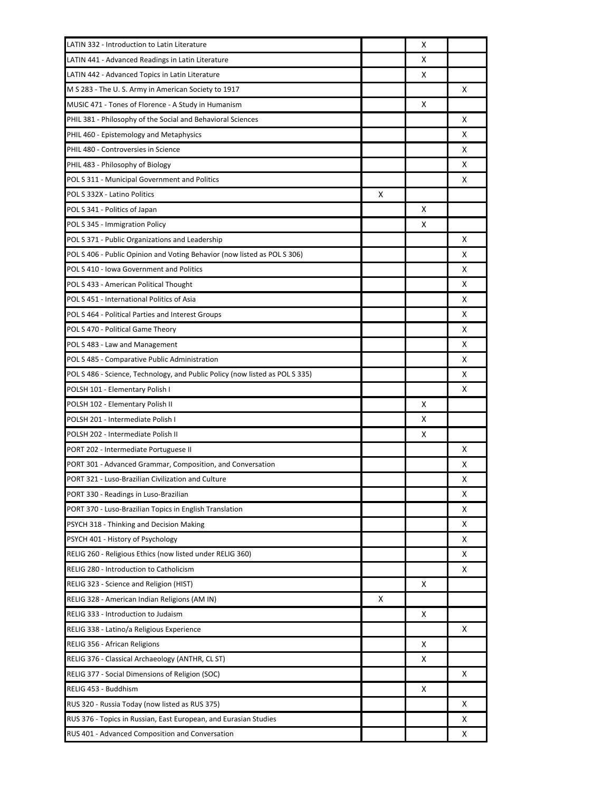| LATIN 332 - Introduction to Latin Literature                                 |   | х |   |
|------------------------------------------------------------------------------|---|---|---|
| LATIN 441 - Advanced Readings in Latin Literature                            |   | x |   |
| LATIN 442 - Advanced Topics in Latin Literature                              |   | х |   |
| M S 283 - The U.S. Army in American Society to 1917                          |   |   | X |
| MUSIC 471 - Tones of Florence - A Study in Humanism                          |   | x |   |
| PHIL 381 - Philosophy of the Social and Behavioral Sciences                  |   |   | x |
| PHIL 460 - Epistemology and Metaphysics                                      |   |   | x |
| PHIL 480 - Controversies in Science                                          |   |   | x |
| PHIL 483 - Philosophy of Biology                                             |   |   | x |
| POL S 311 - Municipal Government and Politics                                |   |   | x |
| POL S 332X - Latino Politics                                                 | X |   |   |
| POL S 341 - Politics of Japan                                                |   | x |   |
| POL S 345 - Immigration Policy                                               |   | x |   |
| POL S 371 - Public Organizations and Leadership                              |   |   | x |
| POL S 406 - Public Opinion and Voting Behavior (now listed as POL S 306)     |   |   | x |
| POL S 410 - Iowa Government and Politics                                     |   |   | x |
| POL S 433 - American Political Thought                                       |   |   | x |
| POL S 451 - International Politics of Asia                                   |   |   | x |
| POL S 464 - Political Parties and Interest Groups                            |   |   | х |
| POL S 470 - Political Game Theory                                            |   |   | x |
| POL S 483 - Law and Management                                               |   |   | X |
| POL S 485 - Comparative Public Administration                                |   |   | x |
| POL S 486 - Science, Technology, and Public Policy (now listed as POL S 335) |   |   | х |
| POLSH 101 - Elementary Polish I                                              |   |   | x |
| POLSH 102 - Elementary Polish II                                             |   | х |   |
| POLSH 201 - Intermediate Polish I                                            |   | Χ |   |
| POLSH 202 - Intermediate Polish II                                           |   | х |   |
| PORT 202 - Intermediate Portuguese II                                        |   |   | x |
| PORT 301 - Advanced Grammar, Composition, and Conversation                   |   |   | x |
| PORT 321 - Luso-Brazilian Civilization and Culture                           |   |   | x |
| PORT 330 - Readings in Luso-Brazilian                                        |   |   | х |
| PORT 370 - Luso-Brazilian Topics in English Translation                      |   |   | х |
| PSYCH 318 - Thinking and Decision Making                                     |   |   | х |
| PSYCH 401 - History of Psychology                                            |   |   | х |
| RELIG 260 - Religious Ethics (now listed under RELIG 360)                    |   |   | х |
| RELIG 280 - Introduction to Catholicism                                      |   |   | х |
| RELIG 323 - Science and Religion (HIST)                                      |   | х |   |
| RELIG 328 - American Indian Religions (AM IN)                                | X |   |   |
| RELIG 333 - Introduction to Judaism                                          |   | х |   |
| RELIG 338 - Latino/a Religious Experience                                    |   |   | х |
| RELIG 356 - African Religions                                                |   | х |   |
| RELIG 376 - Classical Archaeology (ANTHR, CL ST)                             |   | Χ |   |
| RELIG 377 - Social Dimensions of Religion (SOC)                              |   |   | х |
| RELIG 453 - Buddhism                                                         |   | х |   |
| RUS 320 - Russia Today (now listed as RUS 375)                               |   |   | х |
| RUS 376 - Topics in Russian, East European, and Eurasian Studies             |   |   | х |
| RUS 401 - Advanced Composition and Conversation                              |   |   | х |